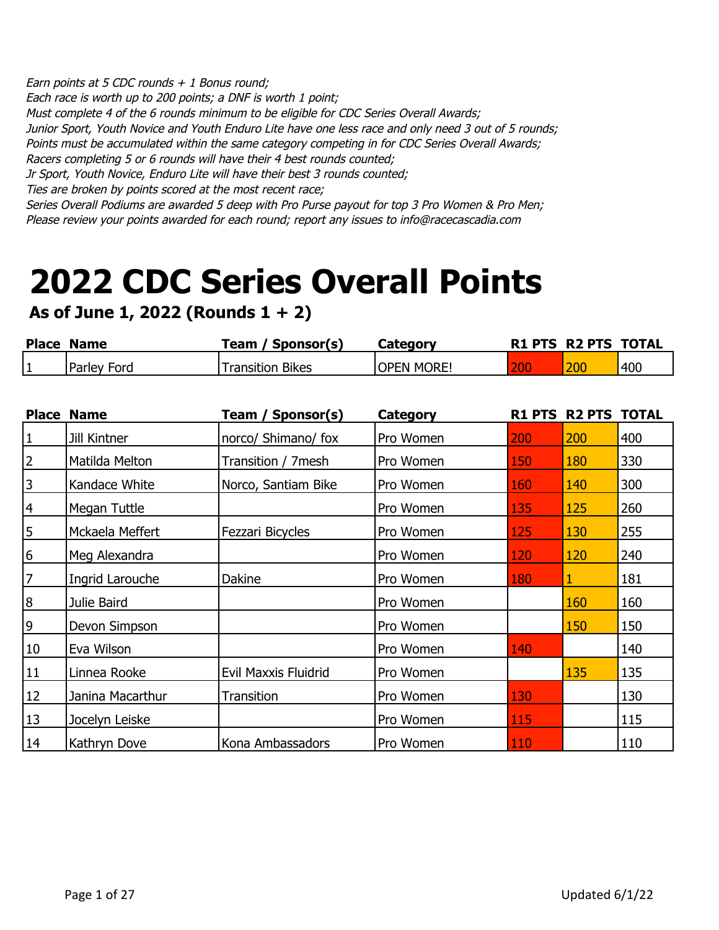Earn points at 5 CDC rounds  $+$  1 Bonus round; Each race is worth up to 200 points; a DNF is worth 1 point; Must complete 4 of the 6 rounds minimum to be eligible for CDC Series Overall Awards; Junior Sport, Youth Novice and Youth Enduro Lite have one less race and only need 3 out of 5 rounds; Points must be accumulated within the same category competing in for CDC Series Overall Awards; Racers completing 5 or 6 rounds will have their 4 best rounds counted; Jr Sport, Youth Novice, Enduro Lite will have their best 3 rounds counted; Ties are broken by points scored at the most recent race; Series Overall Podiums are awarded 5 deep with Pro Purse payout for top 3 Pro Women & Pro Men;

Please review your points awarded for each round; report any issues to info@racecascadia.com

## **2022 CDC Series Overall Points**

**As of June 1, 2022 (Rounds 1 + 2)**

| <b>Place Name</b> |             | Team / Sponsor(s) | Category           | <b>R1 PTS R2 PTS TOTAL</b> |     |
|-------------------|-------------|-------------------|--------------------|----------------------------|-----|
|                   | Parley Ford | Transition Bikes  | <b>IOPEN MORE!</b> | 200                        | 400 |

| <b>Place</b>     | <b>Name</b>      | Team / Sponsor(s)           | <b>Category</b> | <b>R1 PTS</b> | <b>R2 PTS TOTAL</b> |     |
|------------------|------------------|-----------------------------|-----------------|---------------|---------------------|-----|
| $\vert$ 1        | Jill Kintner     | norco/ Shimano/ fox         | Pro Women       | 200           | 200                 | 400 |
| $\overline{2}$   | Matilda Melton   | Transition / 7mesh          | Pro Women       | 150           | 180                 | 330 |
| 3                | Kandace White    | Norco, Santiam Bike         | Pro Women       | 160           | 140                 | 300 |
| $\overline{4}$   | Megan Tuttle     |                             | Pro Women       | 135           | 125                 | 260 |
| $\overline{5}$   | Mckaela Meffert  | Fezzari Bicycles            | Pro Women       | 125           | 130                 | 255 |
| 6                | Meg Alexandra    |                             | Pro Women       | 120           | 120                 | 240 |
| $\overline{7}$   | Ingrid Larouche  | Dakine                      | Pro Women       | 180           |                     | 181 |
| $\boldsymbol{8}$ | Julie Baird      |                             | Pro Women       |               | 160                 | 160 |
| 9                | Devon Simpson    |                             | Pro Women       |               | 150                 | 150 |
| 10               | Eva Wilson       |                             | Pro Women       | 140           |                     | 140 |
| 11               | Linnea Rooke     | <b>Evil Maxxis Fluidrid</b> | Pro Women       |               | 135                 | 135 |
| 12               | Janina Macarthur | Transition                  | Pro Women       | 130           |                     | 130 |
| 13               | Jocelyn Leiske   |                             | Pro Women       | 115           |                     | 115 |
| 14               | Kathryn Dove     | Kona Ambassadors            | Pro Women       | 110           |                     | 110 |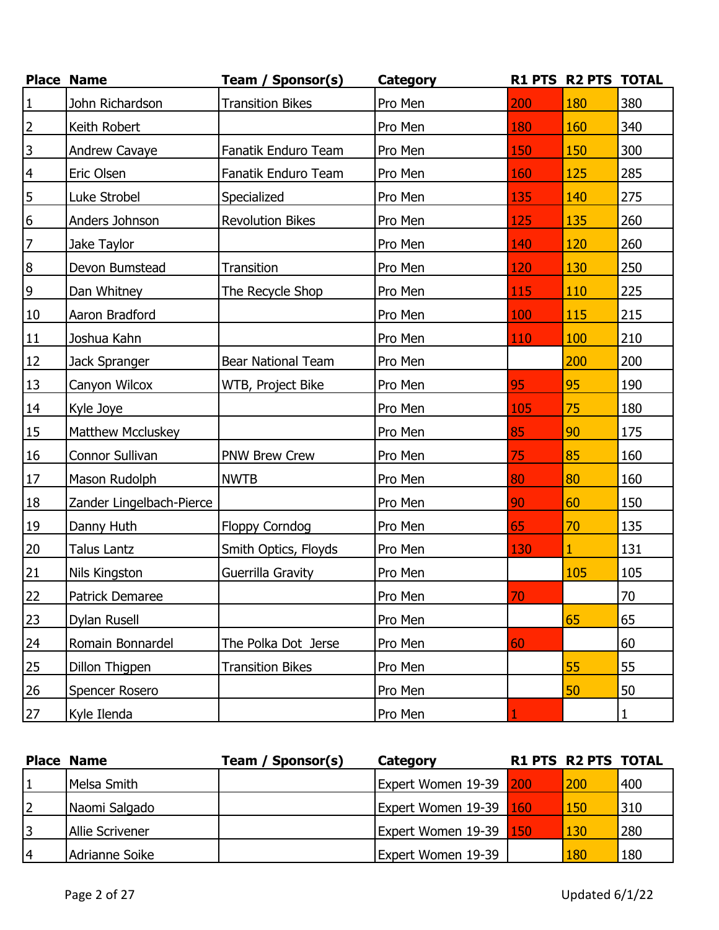|                  | <b>Place Name</b>        | Team / Sponsor(s)         | Category |     | R1 PTS R2 PTS TOTAL |     |
|------------------|--------------------------|---------------------------|----------|-----|---------------------|-----|
| $\mathbf{1}$     | John Richardson          | <b>Transition Bikes</b>   | Pro Men  | 200 | 180                 | 380 |
| $\overline{2}$   | Keith Robert             |                           | Pro Men  | 180 | 160                 | 340 |
| $\mathsf 3$      | Andrew Cavaye            | Fanatik Enduro Team       | Pro Men  | 150 | 150                 | 300 |
| $\overline{4}$   | Eric Olsen               | Fanatik Enduro Team       | Pro Men  | 160 | 125                 | 285 |
| 5                | Luke Strobel             | Specialized               | Pro Men  | 135 | 140                 | 275 |
| $\boldsymbol{6}$ | Anders Johnson           | <b>Revolution Bikes</b>   | Pro Men  | 125 | 135                 | 260 |
| $\overline{7}$   | Jake Taylor              |                           | Pro Men  | 140 | 120                 | 260 |
| $\bf 8$          | Devon Bumstead           | Transition                | Pro Men  | 120 | 130                 | 250 |
| $\overline{9}$   | Dan Whitney              | The Recycle Shop          | Pro Men  | 115 | 110                 | 225 |
| 10               | Aaron Bradford           |                           | Pro Men  | 100 | 115                 | 215 |
| $11\,$           | Joshua Kahn              |                           | Pro Men  | 110 | 100                 | 210 |
| 12               | Jack Spranger            | <b>Bear National Team</b> | Pro Men  |     | 200                 | 200 |
| 13               | Canyon Wilcox            | WTB, Project Bike         | Pro Men  | 95  | 95                  | 190 |
| 14               | Kyle Joye                |                           | Pro Men  | 105 | 75                  | 180 |
| <b>15</b>        | <b>Matthew Mccluskey</b> |                           | Pro Men  | 85  | 90                  | 175 |
| <b>16</b>        | Connor Sullivan          | <b>PNW Brew Crew</b>      | Pro Men  | 75  | 85                  | 160 |
| $17\,$           | Mason Rudolph            | <b>NWTB</b>               | Pro Men  | 80  | 80                  | 160 |
| <b>18</b>        | Zander Lingelbach-Pierce |                           | Pro Men  | 90  | 60                  | 150 |
| <u>19</u>        | Danny Huth               | <b>Floppy Corndog</b>     | Pro Men  | 65  | 70                  | 135 |
| 20               | <b>Talus Lantz</b>       | Smith Optics, Floyds      | Pro Men  | 130 | $\overline{1}$      | 131 |
| 21               | Nils Kingston            | Guerrilla Gravity         | Pro Men  |     | 105                 | 105 |
| 22               | Patrick Demaree          |                           | Pro Men  | 70  |                     | 70  |
| 23               | Dylan Rusell             |                           | Pro Men  |     | 65                  | 65  |
| 24               | Romain Bonnardel         | The Polka Dot Jerse       | Pro Men  | 60  |                     | 60  |
| 25               | Dillon Thigpen           | <b>Transition Bikes</b>   | Pro Men  |     | 55                  | 55  |
| 26               | Spencer Rosero           |                           | Pro Men  |     | 50                  | 50  |
| 27               | Kyle Ilenda              |                           | Pro Men  |     |                     | 1   |

|    | <b>Place Name</b>      | Team / Sponsor(s) | Category               | <b>R1 PTS R2 PTS TOTAL</b> |     |
|----|------------------------|-------------------|------------------------|----------------------------|-----|
|    | Melsa Smith            |                   | Expert Women 19-39 200 | 200                        | 400 |
| 2  | Naomi Salgado          |                   | Expert Women 19-39 160 | 150                        | 310 |
| 13 | <b>Allie Scrivener</b> |                   | Expert Women 19-39 150 | 130                        | 280 |
| l4 | Adrianne Soike         |                   | Expert Women 19-39     | 180                        | 180 |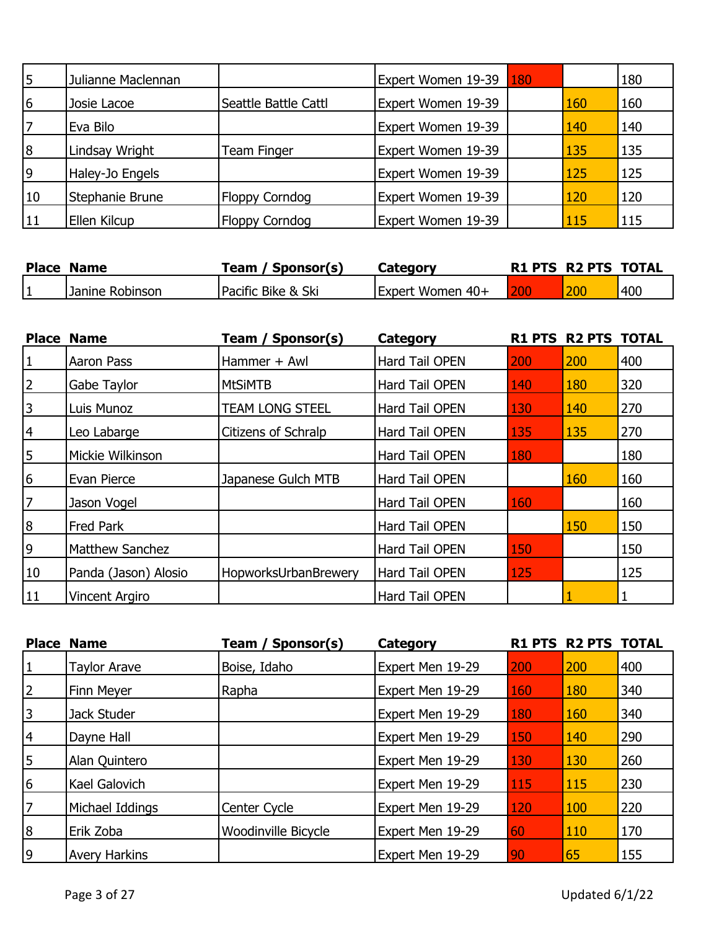| 5              | Julianne Maclennan |                       | Expert Women 19-39 | 180 |     | 180 |
|----------------|--------------------|-----------------------|--------------------|-----|-----|-----|
| 6              | Josie Lacoe        | Seattle Battle Cattl  | Expert Women 19-39 |     | 160 | 160 |
| 17             | Eva Bilo           |                       | Expert Women 19-39 |     | 140 | 140 |
| $\overline{8}$ | Lindsay Wright     | Team Finger           | Expert Women 19-39 |     | 135 | 135 |
| 9              | Haley-Jo Engels    |                       | Expert Women 19-39 |     | 125 | 125 |
| 10             | Stephanie Brune    | <b>Floppy Corndog</b> | Expert Women 19-39 |     | 120 | 120 |
| 11             | Ellen Kilcup       | <b>Floppy Corndog</b> | Expert Women 19-39 |     | 115 | 115 |

| <b>Place Name</b> |                 | / Sponsor(s)<br>ream 7 | Category         | R1 PTS R2 PTS TOTAL |     |
|-------------------|-----------------|------------------------|------------------|---------------------|-----|
|                   | Janine Robinson | Pacific Bike & Ski     | Expert Women 40+ | 200                 | 400 |

|                  | <b>Place Name</b>      | Team / Sponsor(s)      | <b>Category</b>       |     | R1 PTS R2 PTS TOTAL |     |
|------------------|------------------------|------------------------|-----------------------|-----|---------------------|-----|
| 1                | Aaron Pass             | Hammer + Awl           | Hard Tail OPEN        | 200 | 200                 | 400 |
| $\overline{2}$   | Gabe Taylor            | <b>MtSiMTB</b>         | Hard Tail OPEN        | 140 | 180                 | 320 |
| $\overline{3}$   | Luis Munoz             | <b>TEAM LONG STEEL</b> | <b>Hard Tail OPEN</b> | 130 | 140                 | 270 |
| 4                | Leo Labarge            | Citizens of Schralp    | Hard Tail OPEN        | 135 | 135                 | 270 |
| 5                | Mickie Wilkinson       |                        | <b>Hard Tail OPEN</b> | 180 |                     | 180 |
| 6                | Evan Pierce            | Japanese Gulch MTB     | <b>Hard Tail OPEN</b> |     | 160                 | 160 |
| $\overline{7}$   | Jason Vogel            |                        | <b>Hard Tail OPEN</b> | 160 |                     | 160 |
| $\boldsymbol{8}$ | Fred Park              |                        | Hard Tail OPEN        |     | 150                 | 150 |
| 9                | <b>Matthew Sanchez</b> |                        | <b>Hard Tail OPEN</b> | 150 |                     | 150 |
| 10               | Panda (Jason) Alosio   | HopworksUrbanBrewery   | <b>Hard Tail OPEN</b> | 125 |                     | 125 |
| <b>11</b>        | <b>Vincent Argiro</b>  |                        | <b>Hard Tail OPEN</b> |     |                     |     |

|                | <b>Place Name</b>    | Team / Sponsor(s)   | <b>Category</b>  |     | <b>R1 PTS R2 PTS TOTAL</b> |     |
|----------------|----------------------|---------------------|------------------|-----|----------------------------|-----|
| 1              | Taylor Arave         | Boise, Idaho        | Expert Men 19-29 | 200 | 200                        | 400 |
| $\overline{2}$ | Finn Meyer           | Rapha               | Expert Men 19-29 | 160 | 180                        | 340 |
| 3              | Jack Studer          |                     | Expert Men 19-29 | 180 | 160                        | 340 |
| 4              | Dayne Hall           |                     | Expert Men 19-29 | 150 | 140                        | 290 |
| 5              | Alan Quintero        |                     | Expert Men 19-29 | 130 | 130                        | 260 |
| 6              | Kael Galovich        |                     | Expert Men 19-29 | 115 | 115                        | 230 |
| 7              | Michael Iddings      | <b>Center Cycle</b> | Expert Men 19-29 | 120 | 100                        | 220 |
| 8              | Erik Zoba            | Woodinville Bicycle | Expert Men 19-29 | 60  | 110                        | 170 |
| 9              | <b>Avery Harkins</b> |                     | Expert Men 19-29 | 90  | 65                         | 155 |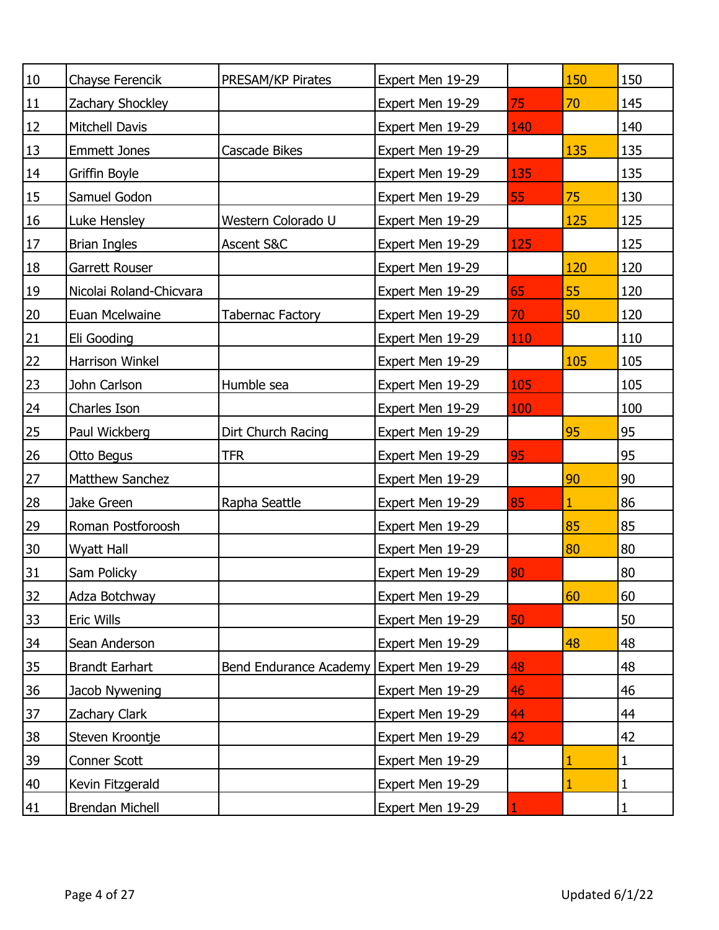| $10\,$         | Chayse Ferencik         | PRESAM/KP Pirates                       | Expert Men 19-29 |     | 150          | 150 |
|----------------|-------------------------|-----------------------------------------|------------------|-----|--------------|-----|
| 11             | Zachary Shockley        |                                         | Expert Men 19-29 | 75  | 70           | 145 |
| 12             | <b>Mitchell Davis</b>   |                                         | Expert Men 19-29 | 140 |              | 140 |
| 13             | <b>Emmett Jones</b>     | <b>Cascade Bikes</b>                    | Expert Men 19-29 |     | 135          | 135 |
| 14             | Griffin Boyle           |                                         | Expert Men 19-29 | 135 |              | 135 |
| 15             | Samuel Godon            |                                         | Expert Men 19-29 | 55  | 75           | 130 |
| 16             | Luke Hensley            | Western Colorado U                      | Expert Men 19-29 |     | 125          | 125 |
| 17             | <b>Brian Ingles</b>     | Ascent S&C                              | Expert Men 19-29 | 125 |              | 125 |
| 18             | Garrett Rouser          |                                         | Expert Men 19-29 |     | 120          | 120 |
| 19             | Nicolai Roland-Chicvara |                                         | Expert Men 19-29 | 65  | 55           | 120 |
| 20             | Euan Mcelwaine          | <b>Tabernac Factory</b>                 | Expert Men 19-29 | 70  | 50           | 120 |
| <u>21</u>      | Eli Gooding             |                                         | Expert Men 19-29 | 110 |              | 110 |
| 22             | Harrison Winkel         |                                         | Expert Men 19-29 |     | 105          | 105 |
| 23             | John Carlson            | Humble sea                              | Expert Men 19-29 | 105 |              | 105 |
| 24             | Charles Ison            |                                         | Expert Men 19-29 | 100 |              | 100 |
| 25             | Paul Wickberg           | Dirt Church Racing                      | Expert Men 19-29 |     | 95           | 95  |
| 26             | Otto Begus              | <b>TFR</b>                              | Expert Men 19-29 | 95  |              | 95  |
| 27             | <b>Matthew Sanchez</b>  |                                         | Expert Men 19-29 |     | 90           | 90  |
| 28             | Jake Green              | Rapha Seattle                           | Expert Men 19-29 | 85  | $\mathbf{1}$ | 86  |
| 29             | Roman Postforoosh       |                                         | Expert Men 19-29 |     | 85           | 85  |
| 30             | Wyatt Hall              |                                         | Expert Men 19-29 |     | 80           | 80  |
| 31             | Sam Policky             |                                         | Expert Men 19-29 | 80  |              | 80  |
| 32             | Adza Botchway           |                                         | Expert Men 19-29 |     | 60           | 60  |
| 33             | Eric Wills              |                                         | Expert Men 19-29 | 50  |              | 50  |
| <u>34</u>      | Sean Anderson           |                                         | Expert Men 19-29 |     | 48           | 48  |
| 35             | <b>Brandt Earhart</b>   | Bend Endurance Academy Expert Men 19-29 |                  | 48  |              | 48  |
| 36             | Jacob Nywening          |                                         | Expert Men 19-29 | 46  |              | 46  |
| $\frac{37}{2}$ | Zachary Clark           |                                         | Expert Men 19-29 | 44  |              | 44  |
| 38             | Steven Kroontje         |                                         | Expert Men 19-29 | 42  |              | 42  |
| 39             | Conner Scott            |                                         | Expert Men 19-29 |     |              | 1   |
| 40             | Kevin Fitzgerald        |                                         | Expert Men 19-29 |     |              | 1   |
| 41             | Brendan Michell         |                                         | Expert Men 19-29 |     |              | 1   |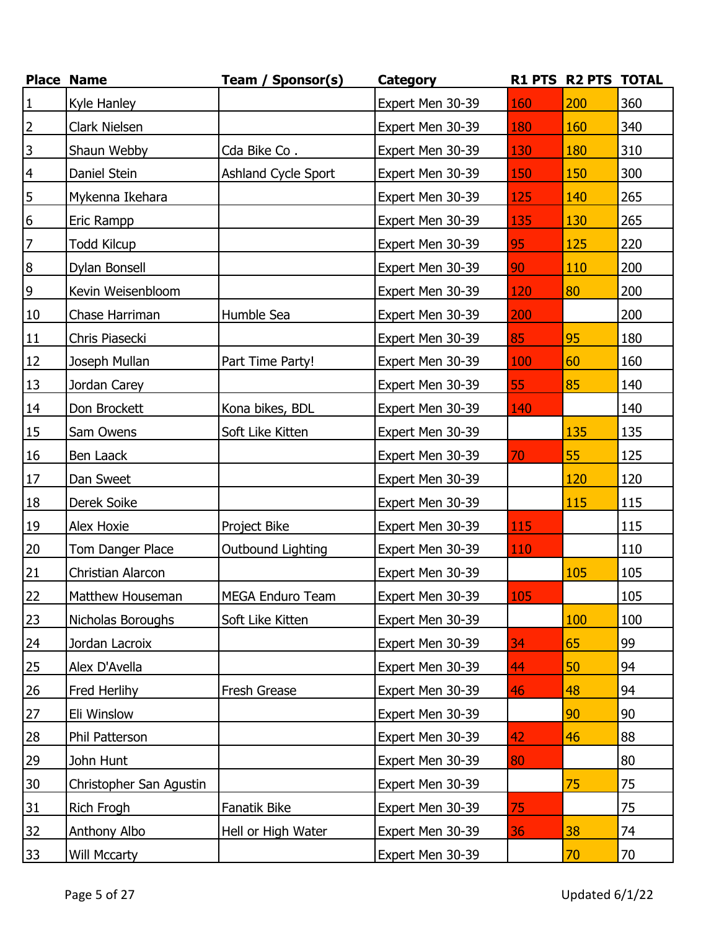|                 | <b>Place Name</b>       | Team / Sponsor(s)   | <b>Category</b>  |            | R1 PTS R2 PTS TOTAL |     |
|-----------------|-------------------------|---------------------|------------------|------------|---------------------|-----|
| $\vert$ 1       | Kyle Hanley             |                     | Expert Men 30-39 | 160        | 200                 | 360 |
| $\overline{2}$  | Clark Nielsen           |                     | Expert Men 30-39 | 180        | 160                 | 340 |
| $\overline{3}$  | Shaun Webby             | Cda Bike Co.        | Expert Men 30-39 | 130        | 180                 | 310 |
| $\overline{4}$  | Daniel Stein            | Ashland Cycle Sport | Expert Men 30-39 | 150        | 150                 | 300 |
| 5               | Mykenna Ikehara         |                     | Expert Men 30-39 | 125        | 140                 | 265 |
| 6               | Eric Rampp              |                     | Expert Men 30-39 | 135        | 130                 | 265 |
| $\overline{7}$  | <b>Todd Kilcup</b>      |                     | Expert Men 30-39 | 95         | 125                 | 220 |
| $\infty$        | Dylan Bonsell           |                     | Expert Men 30-39 | 90         | 110                 | 200 |
| $\overline{9}$  | Kevin Weisenbloom       |                     | Expert Men 30-39 | 120        | 80                  | 200 |
| 10              | Chase Harriman          | Humble Sea          | Expert Men 30-39 | 200        |                     | 200 |
| 11              | Chris Piasecki          |                     | Expert Men 30-39 | 85         | 95                  | 180 |
| 12              | Joseph Mullan           | Part Time Party!    | Expert Men 30-39 | 100        | 60                  | 160 |
| 13              | Jordan Carey            |                     | Expert Men 30-39 | 55         | 85                  | 140 |
| 14              | Don Brockett            | Kona bikes, BDL     | Expert Men 30-39 | 140        |                     | 140 |
| <b>15</b>       | Sam Owens               | Soft Like Kitten    | Expert Men 30-39 |            | 135                 | 135 |
| 16              | Ben Laack               |                     | Expert Men 30-39 | 70         | 55                  | 125 |
| $17\,$          | Dan Sweet               |                     | Expert Men 30-39 |            | 120                 | 120 |
| 18              | Derek Soike             |                     | Expert Men 30-39 |            | 115                 | 115 |
| 19              | Alex Hoxie              | Project Bike        | Expert Men 30-39 | <b>115</b> |                     | 115 |
| 20              | Tom Danger Place        | Outbound Lighting   | Expert Men 30-39 | 110        |                     | 110 |
| 21              | Christian Alarcon       |                     | Expert Men 30-39 |            | 105                 | 105 |
| 22              | Matthew Houseman        | MEGA Enduro Team    | Expert Men 30-39 | 105        |                     | 105 |
| 23              | Nicholas Boroughs       | Soft Like Kitten    | Expert Men 30-39 |            | 100                 | 100 |
| 24              | Jordan Lacroix          |                     | Expert Men 30-39 | 34         | 65                  | 99  |
| 25              | Alex D'Avella           |                     | Expert Men 30-39 | 44         | 50                  | 94  |
| 26              | Fred Herlihy            | Fresh Grease        | Expert Men 30-39 | 46         | 48                  | 94  |
| 27              | Eli Winslow             |                     | Expert Men 30-39 |            | 90                  | 90  |
| 28              | Phil Patterson          |                     | Expert Men 30-39 | 42         | 46                  | 88  |
| 29              | John Hunt               |                     | Expert Men 30-39 | 80         |                     | 80  |
| 30 <sub>o</sub> | Christopher San Agustin |                     | Expert Men 30-39 |            | 75                  | 75  |
| <u>31</u>       | Rich Frogh              | Fanatik Bike        | Expert Men 30-39 | 75         |                     | 75  |
| 32              | <b>Anthony Albo</b>     | Hell or High Water  | Expert Men 30-39 | 36         | 38                  | 74  |
| 33              | Will Mccarty            |                     | Expert Men 30-39 |            | 70                  | 70  |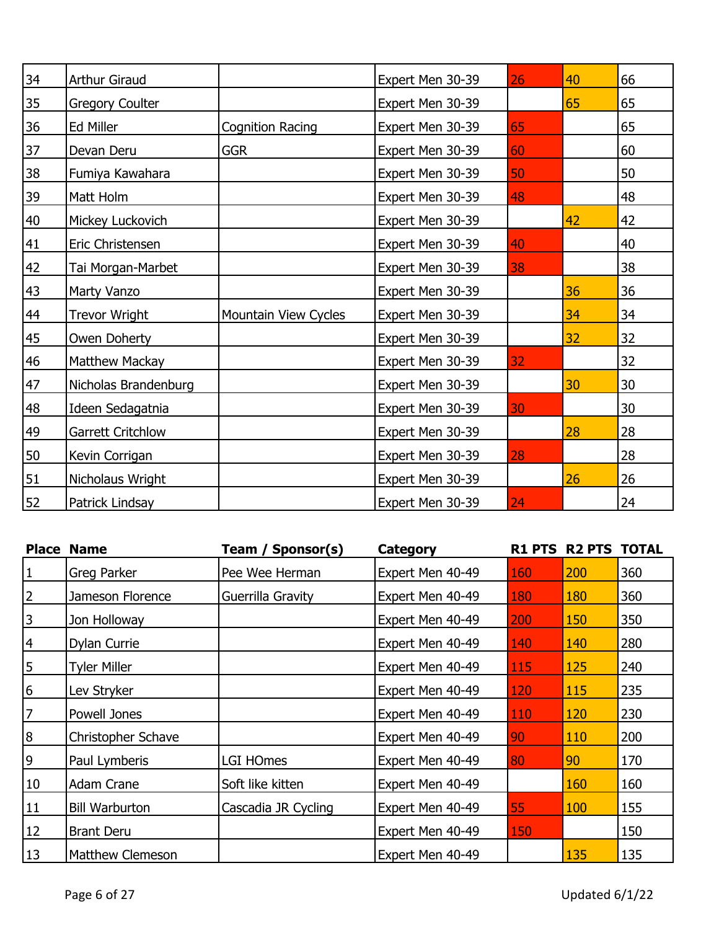| 34 | Arthur Giraud          |                         | Expert Men 30-39 | 26 | 40 | 66 |
|----|------------------------|-------------------------|------------------|----|----|----|
| 35 | <b>Gregory Coulter</b> |                         | Expert Men 30-39 |    | 65 | 65 |
| 36 | Ed Miller              | <b>Cognition Racing</b> | Expert Men 30-39 | 65 |    | 65 |
| 37 | Devan Deru             | <b>GGR</b>              | Expert Men 30-39 | 60 |    | 60 |
| 38 | Fumiya Kawahara        |                         | Expert Men 30-39 | 50 |    | 50 |
| 39 | Matt Holm              |                         | Expert Men 30-39 | 48 |    | 48 |
| 40 | Mickey Luckovich       |                         | Expert Men 30-39 |    | 42 | 42 |
| 41 | Eric Christensen       |                         | Expert Men 30-39 | 40 |    | 40 |
| 42 | Tai Morgan-Marbet      |                         | Expert Men 30-39 | 38 |    | 38 |
| 43 | Marty Vanzo            |                         | Expert Men 30-39 |    | 36 | 36 |
| 44 | Trevor Wright          | Mountain View Cycles    | Expert Men 30-39 |    | 34 | 34 |
| 45 | Owen Doherty           |                         | Expert Men 30-39 |    | 32 | 32 |
| 46 | Matthew Mackay         |                         | Expert Men 30-39 | 32 |    | 32 |
| 47 | Nicholas Brandenburg   |                         | Expert Men 30-39 |    | 30 | 30 |
| 48 | Ideen Sedagatnia       |                         | Expert Men 30-39 | 30 |    | 30 |
| 49 | Garrett Critchlow      |                         | Expert Men 30-39 |    | 28 | 28 |
| 50 | Kevin Corrigan         |                         | Expert Men 30-39 | 28 |    | 28 |
| 51 | Nicholaus Wright       |                         | Expert Men 30-39 |    | 26 | 26 |
| 52 | Patrick Lindsay        |                         | Expert Men 30-39 | 24 |    | 24 |

|                | <b>Place Name</b>       | Sponsor(s)<br>Team / | Category         |                 | <b>R1 PTS R2 PTS TOTAL</b> |     |
|----------------|-------------------------|----------------------|------------------|-----------------|----------------------------|-----|
| 1              | Greg Parker             | Pee Wee Herman       | Expert Men 40-49 | 160             | 200                        | 360 |
| $\overline{2}$ | Jameson Florence        | Guerrilla Gravity    | Expert Men 40-49 | <b>180</b>      | <b>180</b>                 | 360 |
| 3              | Jon Holloway            |                      | Expert Men 40-49 | 200             | 150                        | 350 |
| $\overline{4}$ | Dylan Currie            |                      | Expert Men 40-49 | 140             | 140                        | 280 |
| 5              | <b>Tyler Miller</b>     |                      | Expert Men 40-49 | <b>115</b>      | 125                        | 240 |
| 6              | Lev Stryker             |                      | Expert Men 40-49 | <u>120</u>      | 115                        | 235 |
| $\overline{7}$ | Powell Jones            |                      | Expert Men 40-49 | <b>110</b>      | 120                        | 230 |
| 8              | Christopher Schave      |                      | Expert Men 40-49 | 90 <sub>o</sub> | 110                        | 200 |
| 9              | Paul Lymberis           | LGI HOmes            | Expert Men 40-49 | 80              | 90                         | 170 |
| 10             | Adam Crane              | Soft like kitten     | Expert Men 40-49 |                 | <b>160</b>                 | 160 |
| 11             | <b>Bill Warburton</b>   | Cascadia JR Cycling  | Expert Men 40-49 | 55              | 100                        | 155 |
| 12             | <b>Brant Deru</b>       |                      | Expert Men 40-49 | 150             |                            | 150 |
| 13             | <b>Matthew Clemeson</b> |                      | Expert Men 40-49 |                 | 135                        | 135 |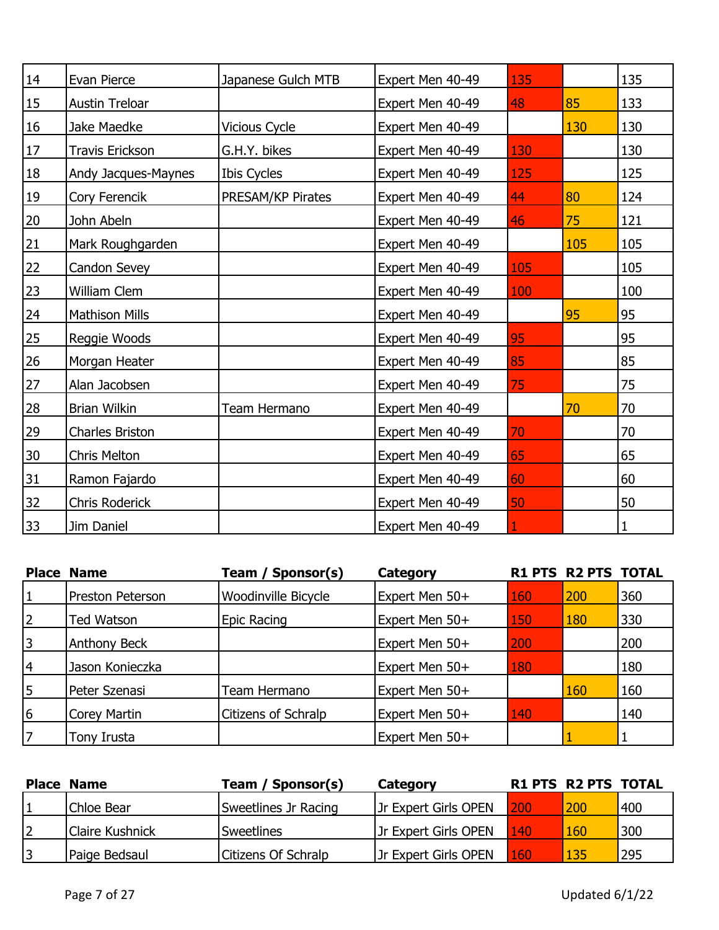| 14 | Evan Pierce            | Japanese Gulch MTB | Expert Men 40-49 | 135 |     | 135 |
|----|------------------------|--------------------|------------------|-----|-----|-----|
| 15 | Austin Treloar         |                    | Expert Men 40-49 | 48  | 85  | 133 |
| 16 | Jake Maedke            | Vicious Cycle      | Expert Men 40-49 |     | 130 | 130 |
| 17 | <b>Travis Erickson</b> | G.H.Y. bikes       | Expert Men 40-49 | 130 |     | 130 |
| 18 | Andy Jacques-Maynes    | Ibis Cycles        | Expert Men 40-49 | 125 |     | 125 |
| 19 | Cory Ferencik          | PRESAM/KP Pirates  | Expert Men 40-49 | 44  | 80  | 124 |
| 20 | John Abeln             |                    | Expert Men 40-49 | 46  | 75  | 121 |
| 21 | Mark Roughgarden       |                    | Expert Men 40-49 |     | 105 | 105 |
| 22 | Candon Sevey           |                    | Expert Men 40-49 | 105 |     | 105 |
| 23 | William Clem           |                    | Expert Men 40-49 | 100 |     | 100 |
| 24 | Mathison Mills         |                    | Expert Men 40-49 |     | 95  | 95  |
| 25 | Reggie Woods           |                    | Expert Men 40-49 | 95  |     | 95  |
| 26 | Morgan Heater          |                    | Expert Men 40-49 | 85  |     | 85  |
| 27 | Alan Jacobsen          |                    | Expert Men 40-49 | 75  |     | 75  |
| 28 | <b>Brian Wilkin</b>    | Team Hermano       | Expert Men 40-49 |     | 70  | 70  |
| 29 | Charles Briston        |                    | Expert Men 40-49 | 70  |     | 70  |
| 30 | <b>Chris Melton</b>    |                    | Expert Men 40-49 | 65  |     | 65  |
| 31 | Ramon Fajardo          |                    | Expert Men 40-49 | 60  |     | 60  |
| 32 | Chris Roderick         |                    | Expert Men 40-49 | 50  |     | 50  |
| 33 | Jim Daniel             |                    | Expert Men 40-49 |     |     |     |

|             | <b>Place Name</b>   | Team / Sponsor(s)          | Category       |     | <b>R1 PTS R2 PTS TOTAL</b> |     |
|-------------|---------------------|----------------------------|----------------|-----|----------------------------|-----|
| $\mathbf 1$ | Preston Peterson    | <b>Woodinville Bicycle</b> | Expert Men 50+ | 160 | 200                        | 360 |
| 2           | Ted Watson          | Epic Racing                | Expert Men 50+ | 150 | 180                        | 330 |
| 3           | <b>Anthony Beck</b> |                            | Expert Men 50+ | 200 |                            | 200 |
| 14          | Jason Konieczka     |                            | Expert Men 50+ | 180 |                            | 180 |
| 5           | Peter Szenasi       | Team Hermano               | Expert Men 50+ |     | 160                        | 160 |
| 6           | <b>Corey Martin</b> | Citizens of Schralp        | Expert Men 50+ | 140 |                            | 140 |
| 17          | Tony Irusta         |                            | Expert Men 50+ |     |                            |     |

| <b>Place Name</b>      | Team / Sponsor(s)          | Category                    | <b>R1 PTS R2 PTS TOTAL</b> |            |     |
|------------------------|----------------------------|-----------------------------|----------------------------|------------|-----|
| Chloe Bear             | Sweetlines Jr Racing       | <b>Jr Expert Girls OPEN</b> | <b>200</b>                 | 200        | 400 |
| <b>Claire Kushnick</b> | <b>Sweetlines</b>          | <b>Jr Expert Girls OPEN</b> | $140^{\circ}$              | 160        | 300 |
| Paige Bedsaul          | <b>Citizens Of Schralp</b> | Jr Expert Girls OPEN        | 160                        | <b>135</b> | 295 |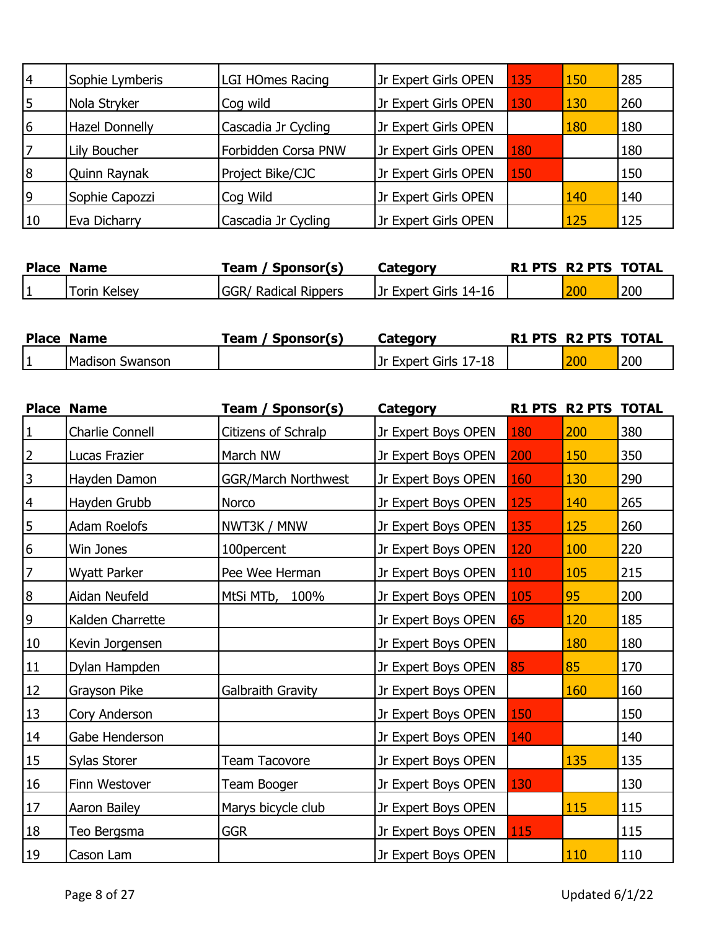| 4  | Sophie Lymberis       | <b>LGI HOmes Racing</b> | Jr Expert Girls OPEN | 135 | 150 | 285 |
|----|-----------------------|-------------------------|----------------------|-----|-----|-----|
| 5  | Nola Stryker          | Cog wild                | Jr Expert Girls OPEN | 130 | 130 | 260 |
| 6  | <b>Hazel Donnelly</b> | Cascadia Jr Cycling     | Jr Expert Girls OPEN |     | 180 | 180 |
| 17 | <b>Lily Boucher</b>   | Forbidden Corsa PNW     | Jr Expert Girls OPEN | 180 |     | 180 |
| 8  | Quinn Raynak          | Project Bike/CJC        | Jr Expert Girls OPEN | 150 |     | 150 |
| 9  | Sophie Capozzi        | Cog Wild                | Jr Expert Girls OPEN |     | 140 | 140 |
| 10 | Eva Dicharry          | Cascadia Jr Cycling     | Jr Expert Girls OPEN |     | 125 | 125 |

| <b>Place Name</b> | ' Sponsor(s)<br>™eam        | Category              | <b>R1 PTS R2 PTS TOTAL</b> |     |
|-------------------|-----------------------------|-----------------------|----------------------------|-----|
| Torin Kelsey      | <b>GGR/ Radical Rippers</b> | Jr Expert Girls 14-16 | 200                        | 200 |

| <b>Place Name</b> | / Sponsor(s)<br>「eam | Category              | <b>R1 PTS R2 PTS TOTAL</b> |     |
|-------------------|----------------------|-----------------------|----------------------------|-----|
| Madison Swanson   |                      | Jr Expert Girls 17-18 | 200                        | 200 |

|                | <b>Place Name</b>   | Team / Sponsor(s)          | Category            |            | R1 PTS R2 PTS TOTAL |     |
|----------------|---------------------|----------------------------|---------------------|------------|---------------------|-----|
| $\mathbf{1}$   | Charlie Connell     | Citizens of Schralp        | Jr Expert Boys OPEN | <b>180</b> | 200                 | 380 |
| $\overline{2}$ | Lucas Frazier       | March NW                   | Jr Expert Boys OPEN | 200        | 150                 | 350 |
| $\overline{3}$ | Hayden Damon        | <b>GGR/March Northwest</b> | Jr Expert Boys OPEN | 160        | 130                 | 290 |
| $\overline{4}$ | Hayden Grubb        | Norco                      | Jr Expert Boys OPEN | 125        | 140                 | 265 |
| $\overline{5}$ | Adam Roelofs        | NWT3K / MNW                | Jr Expert Boys OPEN | 135        | 125                 | 260 |
| 6              | Win Jones           | 100percent                 | Jr Expert Boys OPEN | 120        | 100                 | 220 |
| $\overline{7}$ | <b>Wyatt Parker</b> | Pee Wee Herman             | Jr Expert Boys OPEN | 110        | 105                 | 215 |
| $\overline{8}$ | Aidan Neufeld       | MtSi MTb,<br>100%          | Jr Expert Boys OPEN | 105        | 95                  | 200 |
| $\overline{9}$ | Kalden Charrette    |                            | Jr Expert Boys OPEN | 65         | 120                 | 185 |
| 10             | Kevin Jorgensen     |                            | Jr Expert Boys OPEN |            | 180                 | 180 |
| 11             | Dylan Hampden       |                            | Jr Expert Boys OPEN | 85         | 85                  | 170 |
| 12             | Grayson Pike        | Galbraith Gravity          | Jr Expert Boys OPEN |            | 160                 | 160 |
| 13             | Cory Anderson       |                            | Jr Expert Boys OPEN | 150        |                     | 150 |
| 14             | Gabe Henderson      |                            | Jr Expert Boys OPEN | 140        |                     | 140 |
| 15             | Sylas Storer        | Team Tacovore              | Jr Expert Boys OPEN |            | 135                 | 135 |
| 16             | Finn Westover       | Team Booger                | Jr Expert Boys OPEN | 130        |                     | 130 |
| 17             | Aaron Bailey        | Marys bicycle club         | Jr Expert Boys OPEN |            | 115                 | 115 |
| 18             | Teo Bergsma         | <b>GGR</b>                 | Jr Expert Boys OPEN | <b>115</b> |                     | 115 |
| 19             | Cason Lam           |                            | Jr Expert Boys OPEN |            | 110                 | 110 |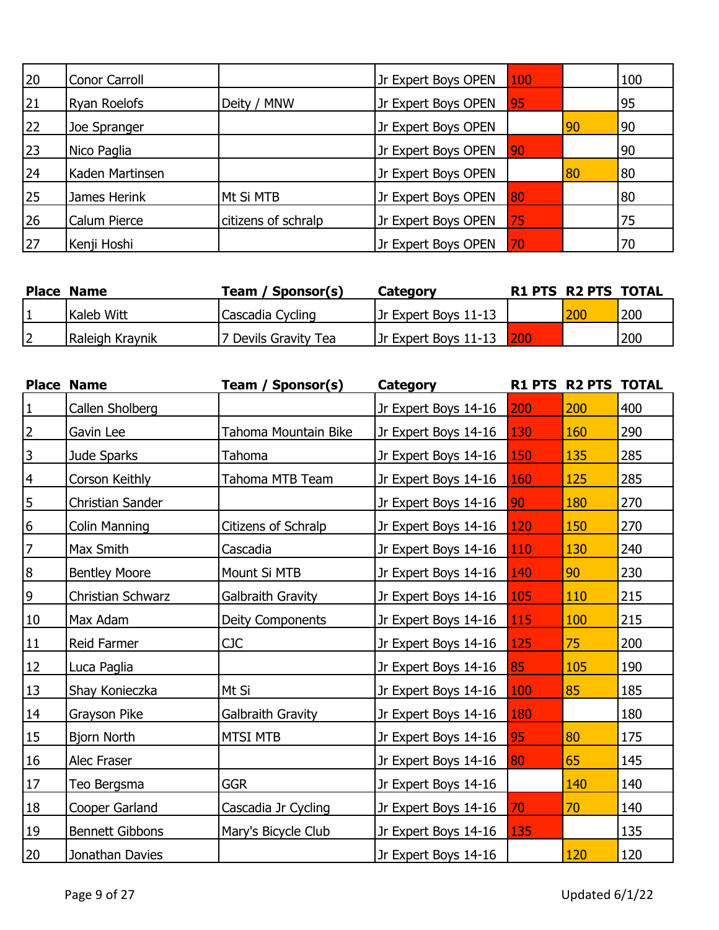| 20 | Conor Carroll   |                     | Jr Expert Boys OPEN | 100 |    | 100 |
|----|-----------------|---------------------|---------------------|-----|----|-----|
| 21 | Ryan Roelofs    | Deity / MNW         | Jr Expert Boys OPEN | 95  |    | 95  |
| 22 | Joe Spranger    |                     | Jr Expert Boys OPEN |     | 90 | 90  |
| 23 | Nico Paglia     |                     | Jr Expert Boys OPEN | 90  |    | 90  |
| 24 | Kaden Martinsen |                     | Jr Expert Boys OPEN |     | 80 | 80  |
| 25 | James Herink    | Mt Si MTB           | Jr Expert Boys OPEN | 80  |    | 80  |
| 26 | Calum Pierce    | citizens of schralp | Jr Expert Boys OPEN | 75  |    | 75  |
| 27 | Kenji Hoshi     |                     | Jr Expert Boys OPEN | 70  |    | 70  |

| <b>Place Name</b> | Team / Sponsor(s)    | Category                 | <b>R1 PTS R2 PTS TOTAL</b> |     |
|-------------------|----------------------|--------------------------|----------------------------|-----|
| Kaleb Witt        | Cascadia Cycling     | Jr Expert Boys 11-13     | 200                        | 200 |
| Raleigh Kraynik   | 7 Devils Gravity Tea | Jr Expert Boys 11-13 200 |                            | 200 |

|                | <b>Place Name</b>       | Team / Sponsor(s)    | <b>Category</b>      |     | R1 PTS R2 PTS | <b>TOTAL</b> |
|----------------|-------------------------|----------------------|----------------------|-----|---------------|--------------|
| $\vert$ 1      | Callen Sholberg         |                      | Jr Expert Boys 14-16 | 200 | 200           | 400          |
| $\overline{2}$ | Gavin Lee               | Tahoma Mountain Bike | Jr Expert Boys 14-16 | 130 | 160           | 290          |
| $\overline{3}$ | Jude Sparks             | Tahoma               | Jr Expert Boys 14-16 | 150 | 135           | 285          |
| $\overline{4}$ | Corson Keithly          | Tahoma MTB Team      | Jr Expert Boys 14-16 | 160 | 125           | 285          |
| $\overline{5}$ | <b>Christian Sander</b> |                      | Jr Expert Boys 14-16 | 90  | 180           | 270          |
| $\frac{6}{1}$  | Colin Manning           | Citizens of Schralp  | Jr Expert Boys 14-16 | 120 | 150           | 270          |
| $\overline{7}$ | Max Smith               | Cascadia             | Jr Expert Boys 14-16 | 110 | 130           | 240          |
| $\overline{8}$ | <b>Bentley Moore</b>    | Mount Si MTB         | Jr Expert Boys 14-16 | 140 | 90            | 230          |
| $\overline{9}$ | Christian Schwarz       | Galbraith Gravity    | Jr Expert Boys 14-16 | 105 | 110           | 215          |
| 10             | Max Adam                | Deity Components     | Jr Expert Boys 14-16 | 115 | 100           | 215          |
| 11             | Reid Farmer             | <b>CJC</b>           | Jr Expert Boys 14-16 | 125 | 75            | 200          |
| 12             | Luca Paglia             |                      | Jr Expert Boys 14-16 | 85  | 105           | 190          |
| 13             | Shay Konieczka          | Mt Si                | Jr Expert Boys 14-16 | 100 | 85            | 185          |
| 14             | Grayson Pike            | Galbraith Gravity    | Jr Expert Boys 14-16 | 180 |               | 180          |
| 15             | Bjorn North             | <b>MTSI MTB</b>      | Jr Expert Boys 14-16 | 95  | 80            | 175          |
| 16             | Alec Fraser             |                      | Jr Expert Boys 14-16 | 80  | 65            | 145          |
| 17             | Teo Bergsma             | <b>GGR</b>           | Jr Expert Boys 14-16 |     | 140           | 140          |
| 18             | Cooper Garland          | Cascadia Jr Cycling  | Jr Expert Boys 14-16 | 70  | 70            | 140          |
| 19             | <b>Bennett Gibbons</b>  | Mary's Bicycle Club  | Jr Expert Boys 14-16 | 135 |               | 135          |
| 20             | Jonathan Davies         |                      | Jr Expert Boys 14-16 |     | 120           | 120          |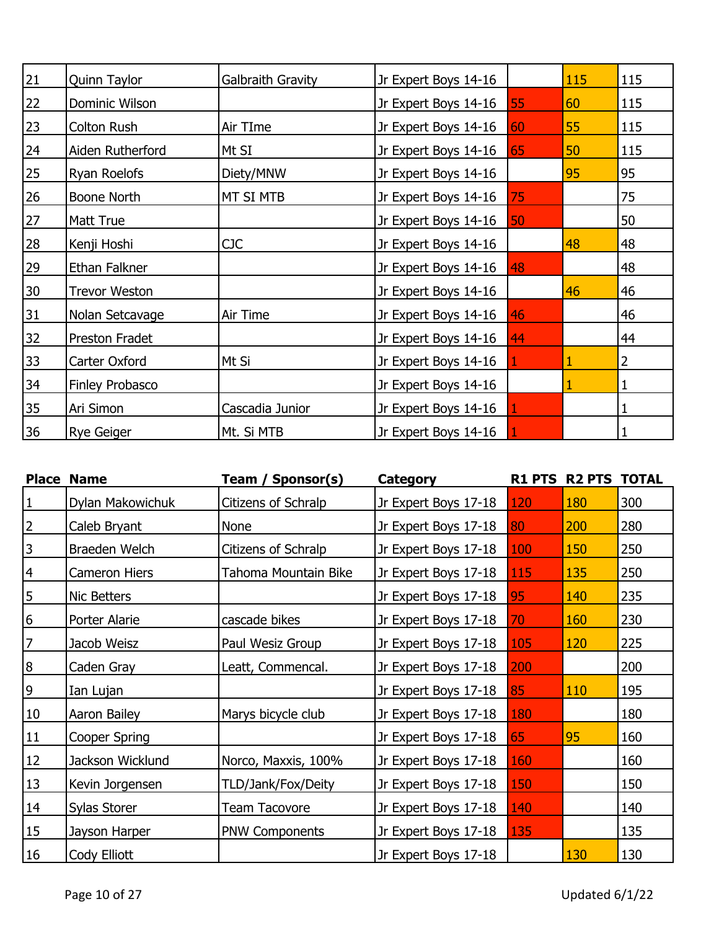| 21 | Quinn Taylor         | Galbraith Gravity | Jr Expert Boys 14-16 |    | 115 | 115 |
|----|----------------------|-------------------|----------------------|----|-----|-----|
| 22 | Dominic Wilson       |                   | Jr Expert Boys 14-16 | 55 | 60  | 115 |
| 23 | Colton Rush          | Air TIme          | Jr Expert Boys 14-16 | 60 | 55  | 115 |
| 24 | Aiden Rutherford     | Mt SI             | Jr Expert Boys 14-16 | 65 | 50  | 115 |
| 25 | Ryan Roelofs         | Diety/MNW         | Jr Expert Boys 14-16 |    | 95  | 95  |
| 26 | Boone North          | MT SI MTB         | Jr Expert Boys 14-16 | 75 |     | 75  |
| 27 | <b>Matt True</b>     |                   | Jr Expert Boys 14-16 | 50 |     | 50  |
| 28 | Kenji Hoshi          | CJC               | Jr Expert Boys 14-16 |    | 48  | 48  |
| 29 | Ethan Falkner        |                   | Jr Expert Boys 14-16 | 48 |     | 48  |
| 30 | <b>Trevor Weston</b> |                   | Jr Expert Boys 14-16 |    | 46  | 46  |
| 31 | Nolan Setcavage      | Air Time          | Jr Expert Boys 14-16 | 46 |     | 46  |
| 32 | Preston Fradet       |                   | Jr Expert Boys 14-16 | 44 |     | 44  |
| 33 | Carter Oxford        | Mt Si             | Jr Expert Boys 14-16 |    | 1   | 2   |
| 34 | Finley Probasco      |                   | Jr Expert Boys 14-16 |    |     |     |
| 35 | Ari Simon            | Cascadia Junior   | Jr Expert Boys 14-16 |    |     |     |
| 36 | <b>Rye Geiger</b>    | Mt. Si MTB        | Jr Expert Boys 14-16 |    |     |     |

|                  | <b>Place Name</b> | Team / Sponsor(s)     | <b>Category</b>      |     | R1 PTS R2 PTS | <b>TOTAL</b> |
|------------------|-------------------|-----------------------|----------------------|-----|---------------|--------------|
| $\mathbf{1}$     | Dylan Makowichuk  | Citizens of Schralp   | Jr Expert Boys 17-18 | 120 | 180           | 300          |
| $\overline{2}$   | Caleb Bryant      | None                  | Jr Expert Boys 17-18 | 80  | 200           | 280          |
| $\mathsf{3}$     | Braeden Welch     | Citizens of Schralp   | Jr Expert Boys 17-18 | 100 | 150           | 250          |
| $\overline{4}$   | Cameron Hiers     | Tahoma Mountain Bike  | Jr Expert Boys 17-18 | 115 | 135           | 250          |
| 5                | Nic Betters       |                       | Jr Expert Boys 17-18 | 95  | 140           | 235          |
| 6                | Porter Alarie     | cascade bikes         | Jr Expert Boys 17-18 | 70  | 160           | 230          |
| $\overline{7}$   | Jacob Weisz       | Paul Wesiz Group      | Jr Expert Boys 17-18 | 105 | 120           | 225          |
| $\boldsymbol{8}$ | Caden Gray        | Leatt, Commencal.     | Jr Expert Boys 17-18 | 200 |               | 200          |
| $\overline{9}$   | Ian Lujan         |                       | Jr Expert Boys 17-18 | 85  | 110           | 195          |
| 10               | Aaron Bailey      | Marys bicycle club    | Jr Expert Boys 17-18 | 180 |               | 180          |
| 11               | Cooper Spring     |                       | Jr Expert Boys 17-18 | 65  | 95            | 160          |
| 12               | Jackson Wicklund  | Norco, Maxxis, 100%   | Jr Expert Boys 17-18 | 160 |               | 160          |
| 13               | Kevin Jorgensen   | TLD/Jank/Fox/Deity    | Jr Expert Boys 17-18 | 150 |               | 150          |
| 14               | Sylas Storer      | <b>Team Tacovore</b>  | Jr Expert Boys 17-18 | 140 |               | 140          |
| 15               | Jayson Harper     | <b>PNW Components</b> | Jr Expert Boys 17-18 | 135 |               | 135          |
| 16               | Cody Elliott      |                       | Jr Expert Boys 17-18 |     | 130           | 130          |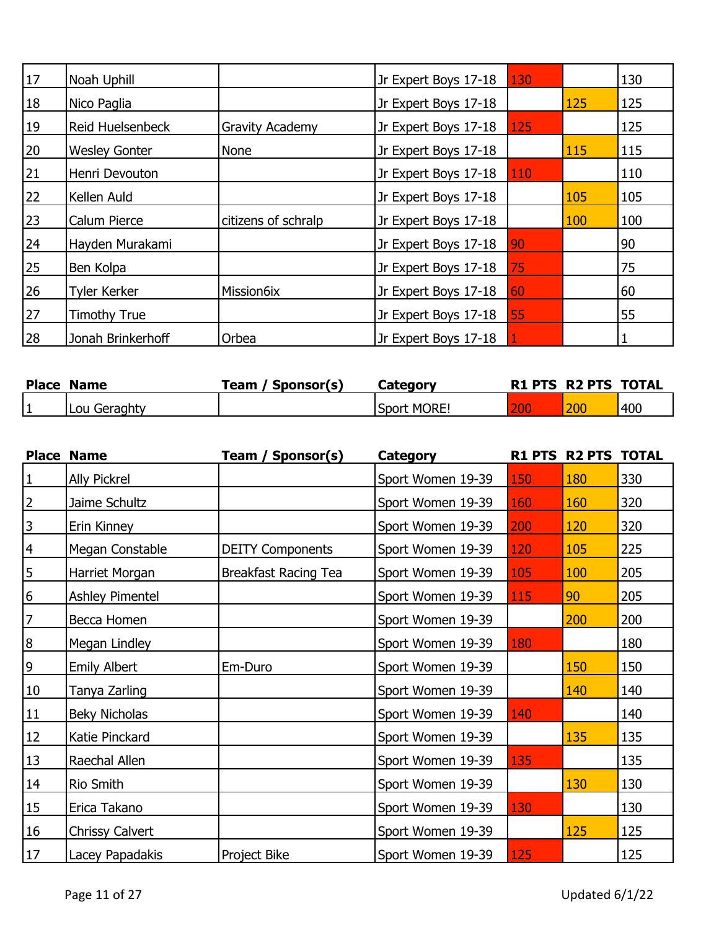| 17        | Noah Uphill          |                        | Jr Expert Boys 17-18 | 130        |     | 130 |
|-----------|----------------------|------------------------|----------------------|------------|-----|-----|
| 18        | Nico Paglia          |                        | Jr Expert Boys 17-18 |            | 125 | 125 |
| <b>19</b> | Reid Huelsenbeck     | <b>Gravity Academy</b> | Jr Expert Boys 17-18 | 125        |     | 125 |
| 20        | <b>Wesley Gonter</b> | <b>None</b>            | Jr Expert Boys 17-18 |            | 115 | 115 |
| 21        | Henri Devouton       |                        | Jr Expert Boys 17-18 | <b>110</b> |     | 110 |
| 22        | Kellen Auld          |                        | Jr Expert Boys 17-18 |            | 105 | 105 |
| 23        | <b>Calum Pierce</b>  | citizens of schralp    | Jr Expert Boys 17-18 |            | 100 | 100 |
| 24        | Hayden Murakami      |                        | Jr Expert Boys 17-18 | 90         |     | 90  |
| 25        | Ben Kolpa            |                        | Jr Expert Boys 17-18 | 75         |     | 75  |
| 26        | <b>Tyler Kerker</b>  | Mission6ix             | Jr Expert Boys 17-18 | 60         |     | 60  |
| 27        | <b>Timothy True</b>  |                        | Jr Expert Boys 17-18 | 55         |     | 55  |
| 28        | Jonah Brinkerhoff    | Orbea                  | Jr Expert Boys 17-18 |            |     |     |

|    | <b>Place Name</b> | Sponsor(s)<br>™eam | Category            | <b>R1 PTS R2 PTS TOTAL</b> |     |
|----|-------------------|--------------------|---------------------|----------------------------|-----|
| ╹┻ | Lou Geraghty      |                    | <b>ISport MORE!</b> | 200                        | 400 |

|                  | <b>Place Name</b>      | Team / Sponsor(s)           | <b>Category</b>   |     | R1 PTS R2 PTS | <b>TOTAL</b> |
|------------------|------------------------|-----------------------------|-------------------|-----|---------------|--------------|
| $\mathbf 1$      | <b>Ally Pickrel</b>    |                             | Sport Women 19-39 | 150 | 180           | 330          |
| $\overline{2}$   | Jaime Schultz          |                             | Sport Women 19-39 | 160 | 160           | 320          |
| $\mathsf{3}$     | Erin Kinney            |                             | Sport Women 19-39 | 200 | 120           | 320          |
| $\overline{4}$   | Megan Constable        | <b>DEITY Components</b>     | Sport Women 19-39 | 120 | 105           | 225          |
| $\overline{5}$   | Harriet Morgan         | <b>Breakfast Racing Tea</b> | Sport Women 19-39 | 105 | 100           | 205          |
| 6                | <b>Ashley Pimentel</b> |                             | Sport Women 19-39 | 115 | 90            | 205          |
| $\overline{7}$   | Becca Homen            |                             | Sport Women 19-39 |     | 200           | 200          |
| $\boldsymbol{8}$ | Megan Lindley          |                             | Sport Women 19-39 | 180 |               | 180          |
| 9                | <b>Emily Albert</b>    | Em-Duro                     | Sport Women 19-39 |     | 150           | 150          |
| 10               | Tanya Zarling          |                             | Sport Women 19-39 |     | 140           | 140          |
| 11               | <b>Beky Nicholas</b>   |                             | Sport Women 19-39 | 140 |               | 140          |
| 12               | Katie Pinckard         |                             | Sport Women 19-39 |     | 135           | 135          |
| 13               | Raechal Allen          |                             | Sport Women 19-39 | 135 |               | 135          |
| 14               | Rio Smith              |                             | Sport Women 19-39 |     | 130           | 130          |
| <u>15</u>        | Erica Takano           |                             | Sport Women 19-39 | 130 |               | 130          |
| 16               | <b>Chrissy Calvert</b> |                             | Sport Women 19-39 |     | 125           | 125          |
| 17               | Lacey Papadakis        | Project Bike                | Sport Women 19-39 | 125 |               | 125          |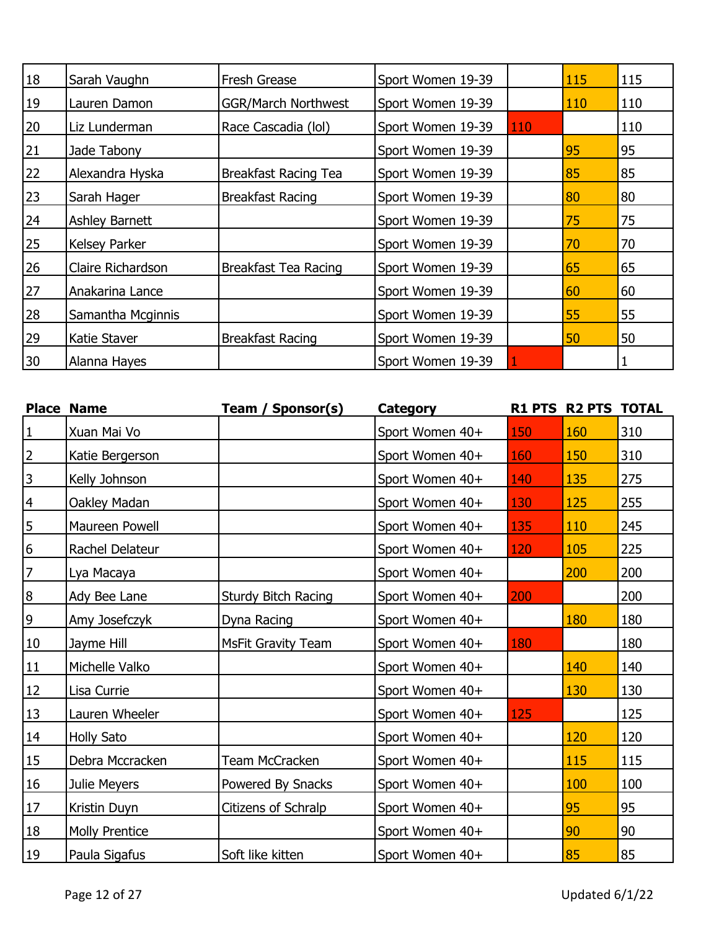| 18 | Sarah Vaughn          | <b>Fresh Grease</b>        | Sport Women 19-39 |     | 115 | 115 |
|----|-----------------------|----------------------------|-------------------|-----|-----|-----|
| 19 | Lauren Damon          | <b>GGR/March Northwest</b> | Sport Women 19-39 |     | 110 | 110 |
| 20 | Liz Lunderman         | Race Cascadia (lol)        | Sport Women 19-39 | 110 |     | 110 |
| 21 | Jade Tabony           |                            | Sport Women 19-39 |     | 95  | 95  |
| 22 | Alexandra Hyska       | Breakfast Racing Tea       | Sport Women 19-39 |     | 85  | 85  |
| 23 | Sarah Hager           | <b>Breakfast Racing</b>    | Sport Women 19-39 |     | 80  | 80  |
| 24 | <b>Ashley Barnett</b> |                            | Sport Women 19-39 |     | 75  | 75  |
| 25 | Kelsey Parker         |                            | Sport Women 19-39 |     | 70  | 70  |
| 26 | Claire Richardson     | Breakfast Tea Racing       | Sport Women 19-39 |     | 65  | 65  |
| 27 | Anakarina Lance       |                            | Sport Women 19-39 |     | 60  | 60  |
| 28 | Samantha Mcginnis     |                            | Sport Women 19-39 |     | 55  | 55  |
| 29 | Katie Staver          | <b>Breakfast Racing</b>    | Sport Women 19-39 |     | 50  | 50  |
| 30 | Alanna Hayes          |                            | Sport Women 19-39 |     |     |     |

|                  | <b>Place Name</b>     | Team / Sponsor(s)         | Category        |     | <b>R1 PTS R2 PTS TOTAL</b> |     |
|------------------|-----------------------|---------------------------|-----------------|-----|----------------------------|-----|
| $\mathbf{1}$     | Xuan Mai Vo           |                           | Sport Women 40+ | 150 | 160                        | 310 |
| $\mathbf 2$      | Katie Bergerson       |                           | Sport Women 40+ | 160 | 150                        | 310 |
| $\overline{3}$   | Kelly Johnson         |                           | Sport Women 40+ | 140 | 135                        | 275 |
| $\overline{4}$   | Oakley Madan          |                           | Sport Women 40+ | 130 | 125                        | 255 |
| 5                | Maureen Powell        |                           | Sport Women 40+ | 135 | 110                        | 245 |
| $6\overline{6}$  | Rachel Delateur       |                           | Sport Women 40+ | 120 | 105                        | 225 |
| $\overline{7}$   | Lya Macaya            |                           | Sport Women 40+ |     | 200                        | 200 |
| $\boldsymbol{8}$ | Ady Bee Lane          | Sturdy Bitch Racing       | Sport Women 40+ | 200 |                            | 200 |
| $\overline{9}$   | Amy Josefczyk         | Dyna Racing               | Sport Women 40+ |     | 180                        | 180 |
| $10\,$           | Jayme Hill            | <b>MsFit Gravity Team</b> | Sport Women 40+ | 180 |                            | 180 |
| 11               | Michelle Valko        |                           | Sport Women 40+ |     | 140                        | 140 |
| 12               | Lisa Currie           |                           | Sport Women 40+ |     | 130                        | 130 |
| 13               | Lauren Wheeler        |                           | Sport Women 40+ | 125 |                            | 125 |
| 14               | <b>Holly Sato</b>     |                           | Sport Women 40+ |     | 120                        | 120 |
| 15               | Debra Mccracken       | Team McCracken            | Sport Women 40+ |     | 115                        | 115 |
| 16               | Julie Meyers          | Powered By Snacks         | Sport Women 40+ |     | 100                        | 100 |
| 17               | Kristin Duyn          | Citizens of Schralp       | Sport Women 40+ |     | 95                         | 95  |
| 18               | <b>Molly Prentice</b> |                           | Sport Women 40+ |     | 90                         | 90  |
| 19               | Paula Sigafus         | Soft like kitten          | Sport Women 40+ |     | 85                         | 85  |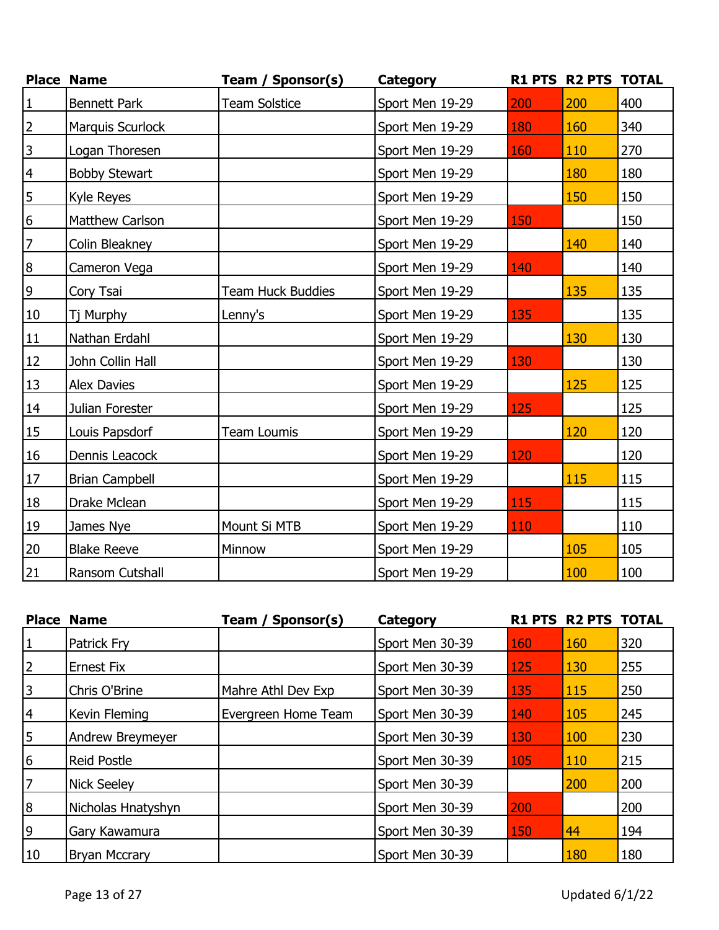|                 | <b>Place Name</b>     | Team / Sponsor(s)    | <b>Category</b> |     | R1 PTS R2 PTS TOTAL |     |
|-----------------|-----------------------|----------------------|-----------------|-----|---------------------|-----|
| $\vert$ 1       | <b>Bennett Park</b>   | <b>Team Solstice</b> | Sport Men 19-29 | 200 | 200                 | 400 |
| $\overline{2}$  | Marquis Scurlock      |                      | Sport Men 19-29 | 180 | 160                 | 340 |
| $\overline{3}$  | Logan Thoresen        |                      | Sport Men 19-29 | 160 | 110                 | 270 |
| $\overline{4}$  | <b>Bobby Stewart</b>  |                      | Sport Men 19-29 |     | 180                 | 180 |
| $\overline{5}$  | Kyle Reyes            |                      | Sport Men 19-29 |     | 150                 | 150 |
| $6\overline{6}$ | Matthew Carlson       |                      | Sport Men 19-29 | 150 |                     | 150 |
| $\overline{7}$  | Colin Bleakney        |                      | Sport Men 19-29 |     | 140                 | 140 |
| 8               | Cameron Vega          |                      | Sport Men 19-29 | 140 |                     | 140 |
| $\overline{9}$  | Cory Tsai             | Team Huck Buddies    | Sport Men 19-29 |     | 135                 | 135 |
| 10              | Tj Murphy             | Lenny's              | Sport Men 19-29 | 135 |                     | 135 |
| 11              | Nathan Erdahl         |                      | Sport Men 19-29 |     | 130                 | 130 |
| 12              | John Collin Hall      |                      | Sport Men 19-29 | 130 |                     | 130 |
| 13              | <b>Alex Davies</b>    |                      | Sport Men 19-29 |     | 125                 | 125 |
| 14              | Julian Forester       |                      | Sport Men 19-29 | 125 |                     | 125 |
| 15              | Louis Papsdorf        | Team Loumis          | Sport Men 19-29 |     | 120                 | 120 |
| 16              | Dennis Leacock        |                      | Sport Men 19-29 | 120 |                     | 120 |
| 17              | <b>Brian Campbell</b> |                      | Sport Men 19-29 |     | 115                 | 115 |
| 18              | Drake Mclean          |                      | Sport Men 19-29 | 115 |                     | 115 |
| 19              | James Nye             | Mount Si MTB         | Sport Men 19-29 | 110 |                     | 110 |
| 20              | <b>Blake Reeve</b>    | Minnow               | Sport Men 19-29 |     | 105                 | 105 |
| 21              | Ransom Cutshall       |                      | Sport Men 19-29 |     | 100                 | 100 |

|    | <b>Place Name</b>    | Sponsor(s)<br>Team / | Category        |     | <b>R1 PTS R2 PTS TOTAL</b> |     |
|----|----------------------|----------------------|-----------------|-----|----------------------------|-----|
|    | Patrick Fry          |                      | Sport Men 30-39 | 160 | 160                        | 320 |
|    | <b>Ernest Fix</b>    |                      | Sport Men 30-39 | 125 | 130                        | 255 |
|    | Chris O'Brine        | Mahre Athl Dev Exp   | Sport Men 30-39 | 135 | 115                        | 250 |
|    | Kevin Fleming        | Evergreen Home Team  | Sport Men 30-39 | 140 | 105                        | 245 |
| 5  | Andrew Breymeyer     |                      | Sport Men 30-39 | 130 | 100                        | 230 |
| 6  | <b>Reid Postle</b>   |                      | Sport Men 30-39 | 105 | 110                        | 215 |
|    | <b>Nick Seeley</b>   |                      | Sport Men 30-39 |     | 200                        | 200 |
| 8  | Nicholas Hnatyshyn   |                      | Sport Men 30-39 | 200 |                            | 200 |
| 9  | Gary Kawamura        |                      | Sport Men 30-39 | 150 | 44                         | 194 |
| 10 | <b>Bryan Mccrary</b> |                      | Sport Men 30-39 |     | 180                        | 180 |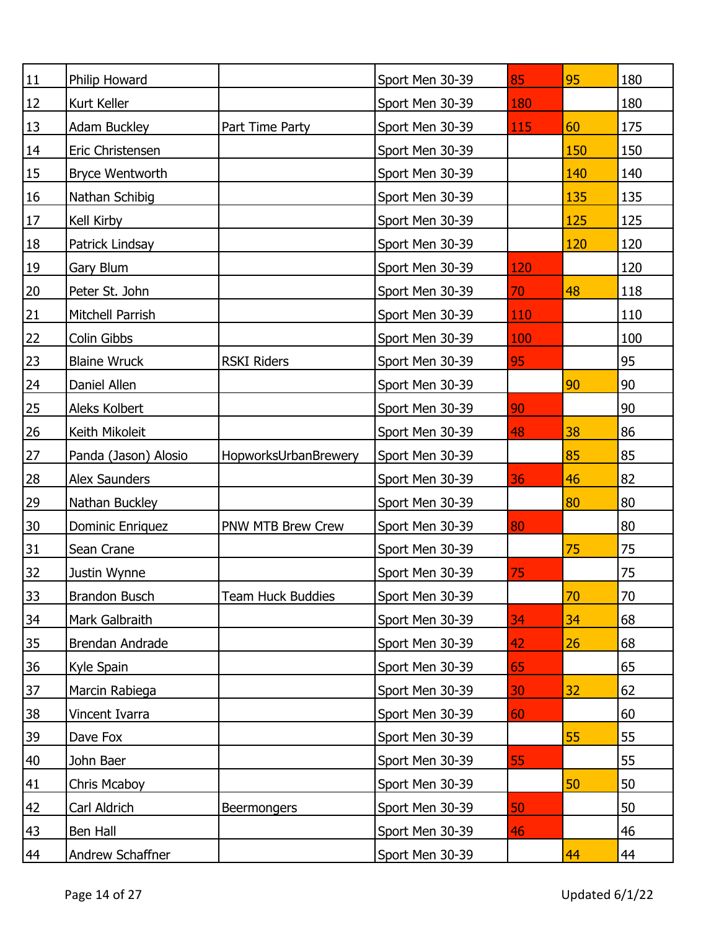| $11\,$    | Philip Howard        |                      | Sport Men 30-39 | 85  | 95  | 180 |
|-----------|----------------------|----------------------|-----------------|-----|-----|-----|
| 12        | Kurt Keller          |                      | Sport Men 30-39 | 180 |     | 180 |
| 13        | <b>Adam Buckley</b>  | Part Time Party      | Sport Men 30-39 | 115 | 60  | 175 |
| 14        | Eric Christensen     |                      | Sport Men 30-39 |     | 150 | 150 |
| 15        | Bryce Wentworth      |                      | Sport Men 30-39 |     | 140 | 140 |
| 16        | Nathan Schibig       |                      | Sport Men 30-39 |     | 135 | 135 |
| 17        | Kell Kirby           |                      | Sport Men 30-39 |     | 125 | 125 |
| 18        | Patrick Lindsay      |                      | Sport Men 30-39 |     | 120 | 120 |
| 19        | Gary Blum            |                      | Sport Men 30-39 | 120 |     | 120 |
| 20        | Peter St. John       |                      | Sport Men 30-39 | 70  | 48  | 118 |
| <u>21</u> | Mitchell Parrish     |                      | Sport Men 30-39 | 110 |     | 110 |
| 22        | Colin Gibbs          |                      | Sport Men 30-39 | 100 |     | 100 |
| 23        | <b>Blaine Wruck</b>  | <b>RSKI Riders</b>   | Sport Men 30-39 | 95  |     | 95  |
| 24        | Daniel Allen         |                      | Sport Men 30-39 |     | 90  | 90  |
| 25        | Aleks Kolbert        |                      | Sport Men 30-39 | 90  |     | 90  |
| 26        | Keith Mikoleit       |                      | Sport Men 30-39 | 48  | 38  | 86  |
| 27        | Panda (Jason) Alosio | HopworksUrbanBrewery | Sport Men 30-39 |     | 85  | 85  |
| <b>28</b> | Alex Saunders        |                      | Sport Men 30-39 | 36  | 46  | 82  |
| 29        | Nathan Buckley       |                      | Sport Men 30-39 |     | 80  | 80  |
| $30\,$    | Dominic Enriquez     | PNW MTB Brew Crew    | Sport Men 30-39 | 80  |     | 80  |
| <u>31</u> | Sean Crane           |                      | Sport Men 30-39 |     | 75  | 75  |
| 32        | Justin Wynne         |                      | Sport Men 30-39 | 75  |     | 75  |
| 33        | <b>Brandon Busch</b> | Team Huck Buddies    | Sport Men 30-39 |     | 70  | 70  |
| <u>34</u> | Mark Galbraith       |                      | Sport Men 30-39 | 34  | 34  | 68  |
| 35        | Brendan Andrade      |                      | Sport Men 30-39 | 42  | 26  | 68  |
| 36        | Kyle Spain           |                      | Sport Men 30-39 | 65  |     | 65  |
| 37        | Marcin Rabiega       |                      | Sport Men 30-39 | 30  | 32  | 62  |
| <u>38</u> | Vincent Ivarra       |                      | Sport Men 30-39 | 60  |     | 60  |
| 39        | Dave Fox             |                      | Sport Men 30-39 |     | 55  | 55  |
| 40        | John Baer            |                      | Sport Men 30-39 | 55  |     | 55  |
| 41        | Chris Mcaboy         |                      | Sport Men 30-39 |     | 50  | 50  |
| 42        | Carl Aldrich         | <b>Beermongers</b>   | Sport Men 30-39 | 50  |     | 50  |
| 43        | Ben Hall             |                      | Sport Men 30-39 | 46  |     | 46  |
| 44        | Andrew Schaffner     |                      | Sport Men 30-39 |     | 44  | 44  |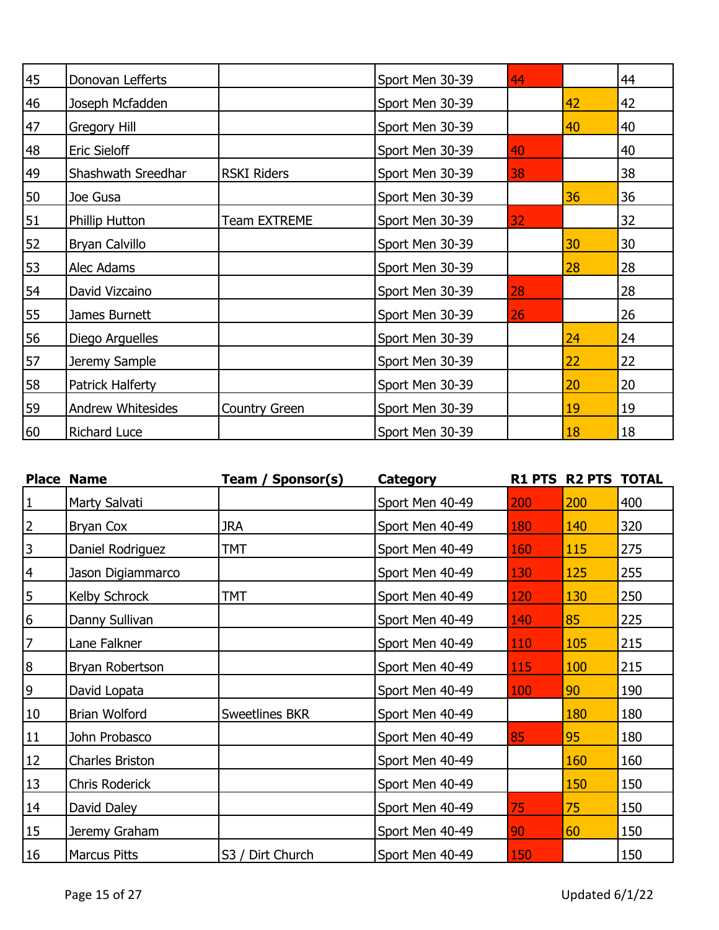| 45 | Donovan Lefferts         |                      | Sport Men 30-39 | 44 |    | 44 |
|----|--------------------------|----------------------|-----------------|----|----|----|
| 46 | Joseph Mcfadden          |                      | Sport Men 30-39 |    | 42 | 42 |
| 47 | Gregory Hill             |                      | Sport Men 30-39 |    | 40 | 40 |
| 48 | <b>Eric Sieloff</b>      |                      | Sport Men 30-39 | 40 |    | 40 |
| 49 | Shashwath Sreedhar       | <b>RSKI Riders</b>   | Sport Men 30-39 | 38 |    | 38 |
| 50 | Joe Gusa                 |                      | Sport Men 30-39 |    | 36 | 36 |
| 51 | <b>Phillip Hutton</b>    | Team EXTREME         | Sport Men 30-39 | 32 |    | 32 |
| 52 | Bryan Calvillo           |                      | Sport Men 30-39 |    | 30 | 30 |
| 53 | Alec Adams               |                      | Sport Men 30-39 |    | 28 | 28 |
| 54 | David Vizcaino           |                      | Sport Men 30-39 | 28 |    | 28 |
| 55 | James Burnett            |                      | Sport Men 30-39 | 26 |    | 26 |
| 56 | Diego Arguelles          |                      | Sport Men 30-39 |    | 24 | 24 |
| 57 | Jeremy Sample            |                      | Sport Men 30-39 |    | 22 | 22 |
| 58 | Patrick Halferty         |                      | Sport Men 30-39 |    | 20 | 20 |
| 59 | <b>Andrew Whitesides</b> | <b>Country Green</b> | Sport Men 30-39 |    | 19 | 19 |
| 60 | <b>Richard Luce</b>      |                      | Sport Men 30-39 |    | 18 | 18 |

|                  | <b>Place Name</b>   | Team / Sponsor(s)     | <b>Category</b> |     | R1 PTS R2 PTS TOTAL |     |
|------------------|---------------------|-----------------------|-----------------|-----|---------------------|-----|
| $\mathbf 1$      | Marty Salvati       |                       | Sport Men 40-49 | 200 | 200                 | 400 |
| $\overline{2}$   | <b>Bryan Cox</b>    | <b>JRA</b>            | Sport Men 40-49 | 180 | 140                 | 320 |
| 3                | Daniel Rodriguez    | TMT                   | Sport Men 40-49 | 160 | 115                 | 275 |
| $\overline{4}$   | Jason Digiammarco   |                       | Sport Men 40-49 | 130 | 125                 | 255 |
| 5                | Kelby Schrock       | TMT                   | Sport Men 40-49 | 120 | 130                 | 250 |
| 6                | Danny Sullivan      |                       | Sport Men 40-49 | 140 | 85                  | 225 |
| 7                | Lane Falkner        |                       | Sport Men 40-49 | 110 | 105                 | 215 |
| $\boldsymbol{8}$ | Bryan Robertson     |                       | Sport Men 40-49 | 115 | 100                 | 215 |
| 9                | David Lopata        |                       | Sport Men 40-49 | 100 | 90                  | 190 |
| 10               | Brian Wolford       | <b>Sweetlines BKR</b> | Sport Men 40-49 |     | 180                 | 180 |
| 11               | John Probasco       |                       | Sport Men 40-49 | 85  | 95                  | 180 |
| <u>12</u>        | Charles Briston     |                       | Sport Men 40-49 |     | 160                 | 160 |
| 13               | Chris Roderick      |                       | Sport Men 40-49 |     | 150                 | 150 |
| 14               | David Daley         |                       | Sport Men 40-49 | 75  | 75                  | 150 |
| 15               | Jeremy Graham       |                       | Sport Men 40-49 | 90  | 60                  | 150 |
| 16               | <b>Marcus Pitts</b> | S3 / Dirt Church      | Sport Men 40-49 | 150 |                     | 150 |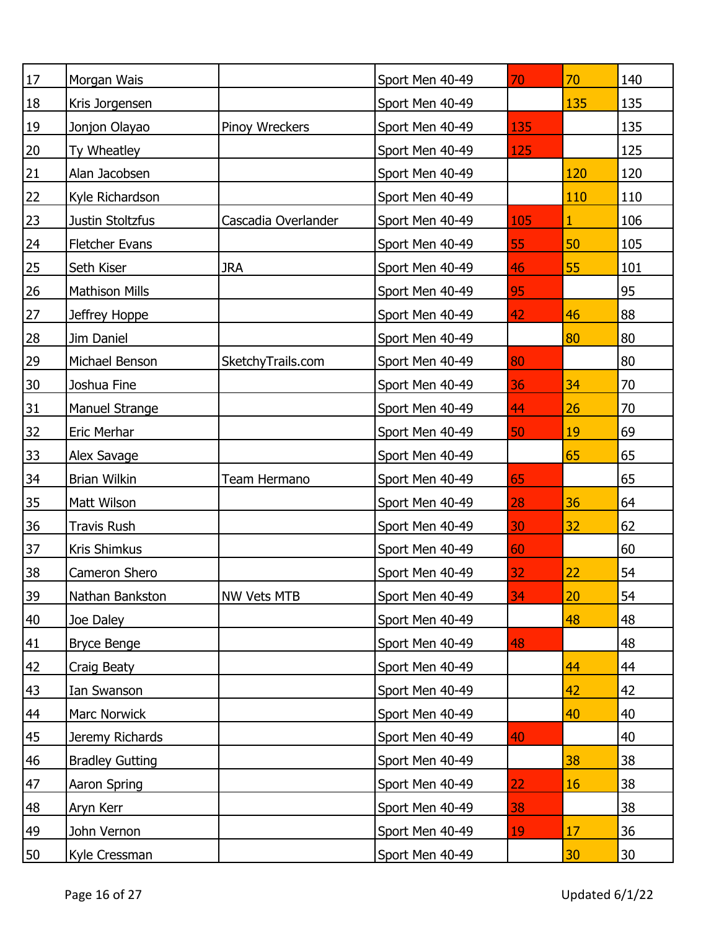| $17\,$         | Morgan Wais            |                     | Sport Men 40-49 | 70  | 70  | 140 |
|----------------|------------------------|---------------------|-----------------|-----|-----|-----|
| 18             | Kris Jorgensen         |                     | Sport Men 40-49 |     | 135 | 135 |
| 19             | Jonjon Olayao          | Pinoy Wreckers      | Sport Men 40-49 | 135 |     | 135 |
| 20             | Ty Wheatley            |                     | Sport Men 40-49 | 125 |     | 125 |
| <u>21</u>      | Alan Jacobsen          |                     | Sport Men 40-49 |     | 120 | 120 |
| 22             | Kyle Richardson        |                     | Sport Men 40-49 |     | 110 | 110 |
| 23             | Justin Stoltzfus       | Cascadia Overlander | Sport Men 40-49 | 105 | 1   | 106 |
| 24             | <b>Fletcher Evans</b>  |                     | Sport Men 40-49 | 55  | 50  | 105 |
| 25             | Seth Kiser             | <b>JRA</b>          | Sport Men 40-49 | 46  | 55  | 101 |
| 26             | <b>Mathison Mills</b>  |                     | Sport Men 40-49 | 95  |     | 95  |
| 27             | Jeffrey Hoppe          |                     | Sport Men 40-49 | 42  | 46  | 88  |
| <b>28</b>      | Jim Daniel             |                     | Sport Men 40-49 |     | 80  | 80  |
| 29             | Michael Benson         | SketchyTrails.com   | Sport Men 40-49 | 80  |     | 80  |
| $30\,$         | Joshua Fine            |                     | Sport Men 40-49 | 36  | 34  | 70  |
| <u>31</u>      | Manuel Strange         |                     | Sport Men 40-49 | 44  | 26  | 70  |
| 32             | <b>Eric Merhar</b>     |                     | Sport Men 40-49 | 50  | 19  | 69  |
| 33             | Alex Savage            |                     | Sport Men 40-49 |     | 65  | 65  |
| 34             | <b>Brian Wilkin</b>    | Team Hermano        | Sport Men 40-49 | 65  |     | 65  |
| <u>35</u>      | Matt Wilson            |                     | Sport Men 40-49 | 28  | 36  | 64  |
| 36             | <b>Travis Rush</b>     |                     | Sport Men 40-49 | 30  | 32  | 62  |
| 37             | Kris Shimkus           |                     | Sport Men 40-49 | 60  |     | 60  |
| 38             | Cameron Shero          |                     | Sport Men 40-49 | 32  | 22  | 54  |
| <u>39</u>      | Nathan Bankston        | NW Vets MTB         | Sport Men 40-49 | 34  | 20  | 54  |
| 40             | Joe Daley              |                     | Sport Men 40-49 |     | 48  | 48  |
| 41             | <b>Bryce Benge</b>     |                     | Sport Men 40-49 | 48  |     | 48  |
| 42             | Craig Beaty            |                     | Sport Men 40-49 |     | 44  | 44  |
| 43             | Ian Swanson            |                     | Sport Men 40-49 |     | 42  | 42  |
| 44             | Marc Norwick           |                     | Sport Men 40-49 |     | 40  | 40  |
| 45             | Jeremy Richards        |                     | Sport Men 40-49 | 40  |     | 40  |
| $\frac{46}{5}$ | <b>Bradley Gutting</b> |                     | Sport Men 40-49 |     | 38  | 38  |
| 47             | Aaron Spring           |                     | Sport Men 40-49 | 22  | 16  | 38  |
| 48             | Aryn Kerr              |                     | Sport Men 40-49 | 38  |     | 38  |
| 49             | John Vernon            |                     | Sport Men 40-49 | 19  | 17  | 36  |
| 50             | Kyle Cressman          |                     | Sport Men 40-49 |     | 30  | 30  |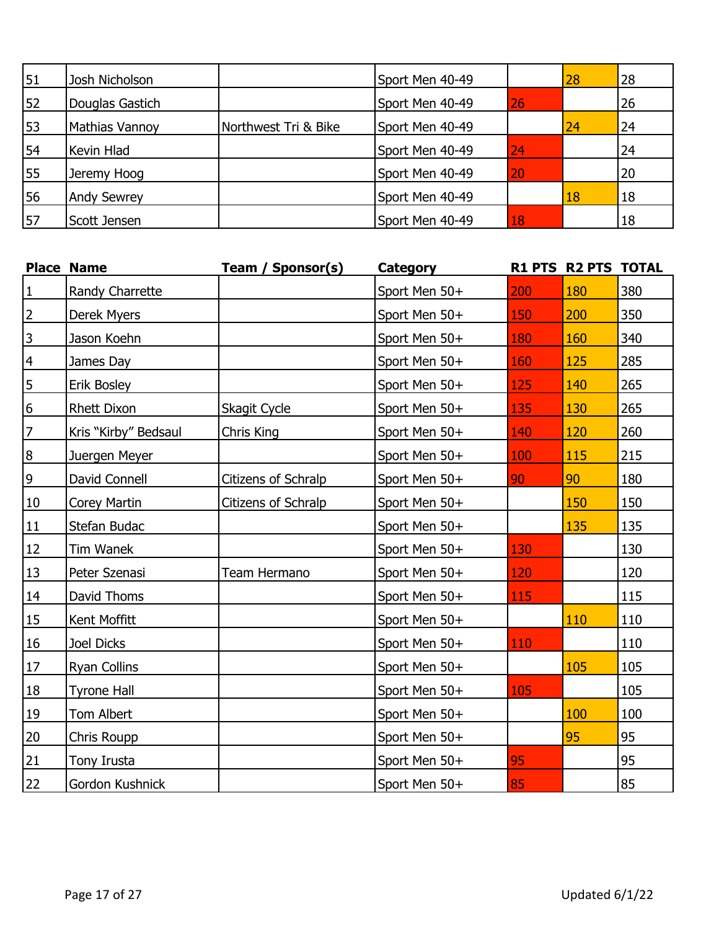| 51 | Josh Nicholson        |                      | Sport Men 40-49 |    | 28 | 28 |
|----|-----------------------|----------------------|-----------------|----|----|----|
| 52 | Douglas Gastich       |                      | Sport Men 40-49 | 26 |    | 26 |
| 53 | <b>Mathias Vannoy</b> | Northwest Tri & Bike | Sport Men 40-49 |    | 24 | 24 |
| 54 | Kevin Hlad            |                      | Sport Men 40-49 | 24 |    | 24 |
| 55 | Jeremy Hoog           |                      | Sport Men 40-49 | 20 |    | 20 |
| 56 | <b>Andy Sewrey</b>    |                      | Sport Men 40-49 |    | 18 | 18 |
| 57 | Scott Jensen          |                      | Sport Men 40-49 | 18 |    | 18 |

|                  | <b>Place Name</b>    | Team / Sponsor(s)   | <b>Category</b> |     | R1 PTS R2 PTS TOTAL |     |
|------------------|----------------------|---------------------|-----------------|-----|---------------------|-----|
| $\mathbf{1}$     | Randy Charrette      |                     | Sport Men 50+   | 200 | 180                 | 380 |
| $\overline{2}$   | Derek Myers          |                     | Sport Men 50+   | 150 | 200                 | 350 |
| $\overline{3}$   | Jason Koehn          |                     | Sport Men 50+   | 180 | 160                 | 340 |
| $\overline{4}$   | James Day            |                     | Sport Men 50+   | 160 | 125                 | 285 |
| $\overline{5}$   | Erik Bosley          |                     | Sport Men 50+   | 125 | 140                 | 265 |
| $6 \overline{6}$ | Rhett Dixon          | Skagit Cycle        | Sport Men 50+   | 135 | 130                 | 265 |
| $\overline{z}$   | Kris "Kirby" Bedsaul | Chris King          | Sport Men 50+   | 140 | 120                 | 260 |
| $\overline{8}$   | Juergen Meyer        |                     | Sport Men 50+   | 100 | 115                 | 215 |
| $\overline{6}$   | David Connell        | Citizens of Schralp | Sport Men 50+   | 90  | 90                  | 180 |
| 10               | Corey Martin         | Citizens of Schralp | Sport Men 50+   |     | 150                 | 150 |
| 11               | Stefan Budac         |                     | Sport Men 50+   |     | 135                 | 135 |
| 12               | Tim Wanek            |                     | Sport Men 50+   | 130 |                     | 130 |
| 13               | Peter Szenasi        | Team Hermano        | Sport Men 50+   | 120 |                     | 120 |
| 14               | David Thoms          |                     | Sport Men 50+   | 115 |                     | 115 |
| 15               | Kent Moffitt         |                     | Sport Men 50+   |     | 110                 | 110 |
| 16               | Joel Dicks           |                     | Sport Men 50+   | 110 |                     | 110 |
| 17               | Ryan Collins         |                     | Sport Men 50+   |     | 105                 | 105 |
| 18               | <b>Tyrone Hall</b>   |                     | Sport Men 50+   | 105 |                     | 105 |
| 19               | Tom Albert           |                     | Sport Men 50+   |     | 100                 | 100 |
| 20               | Chris Roupp          |                     | Sport Men 50+   |     | 95                  | 95  |
| 21               | Tony Irusta          |                     | Sport Men 50+   | 95  |                     | 95  |
| 22               | Gordon Kushnick      |                     | Sport Men 50+   | 85  |                     | 85  |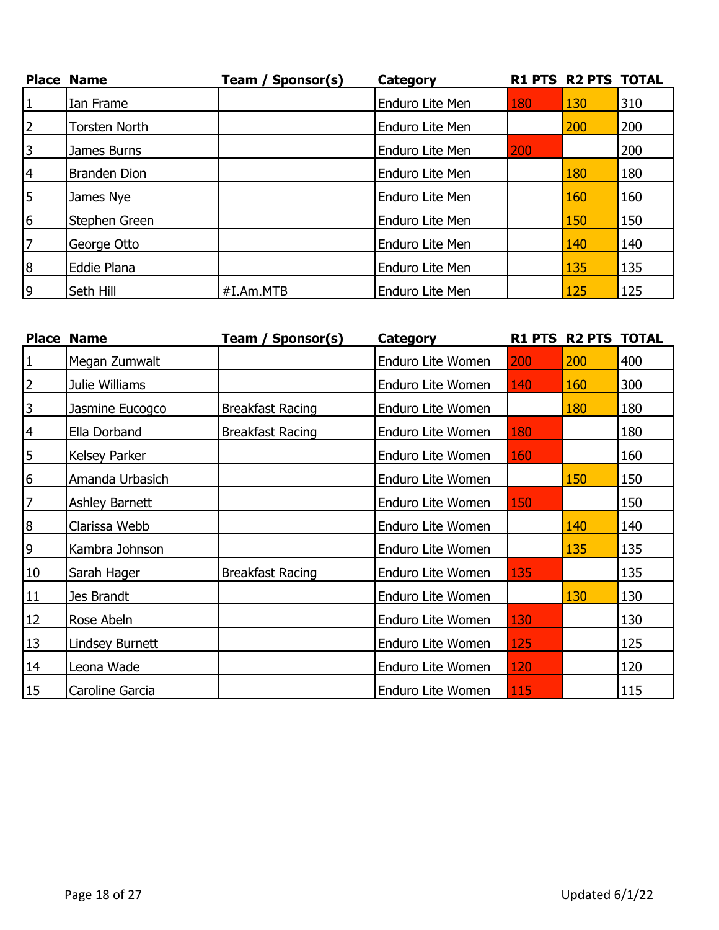|                | <b>Place Name</b>    | Team / Sponsor(s) | <b>Category</b> |     | <b>R1 PTS R2 PTS TOTAL</b> |     |
|----------------|----------------------|-------------------|-----------------|-----|----------------------------|-----|
| 1              | Ian Frame            |                   | Enduro Lite Men | 180 | 130                        | 310 |
| $\overline{2}$ | <b>Torsten North</b> |                   | Enduro Lite Men |     | 200                        | 200 |
| $\overline{3}$ | James Burns          |                   | Enduro Lite Men | 200 |                            | 200 |
| $\overline{4}$ | <b>Branden Dion</b>  |                   | Enduro Lite Men |     | 180                        | 180 |
| $\overline{5}$ | James Nye            |                   | Enduro Lite Men |     | 160                        | 160 |
| 6              | Stephen Green        |                   | Enduro Lite Men |     | 150                        | 150 |
| 7              | George Otto          |                   | Enduro Lite Men |     | 140                        | 140 |
| 8              | Eddie Plana          |                   | Enduro Lite Men |     | 135                        | 135 |
| 9              | Seth Hill            | #I.Am.MTB         | Enduro Lite Men |     | 125                        | 125 |

|                | <b>Place Name</b> | Team / Sponsor(s)       | Category          |     | <b>R1 PTS R2 PTS TOTAL</b> |     |
|----------------|-------------------|-------------------------|-------------------|-----|----------------------------|-----|
| $\vert$ 1      | Megan Zumwalt     |                         | Enduro Lite Women | 200 | 200                        | 400 |
| $\overline{2}$ | Julie Williams    |                         | Enduro Lite Women | 140 | 160                        | 300 |
| $\overline{3}$ | Jasmine Eucogco   | <b>Breakfast Racing</b> | Enduro Lite Women |     | 180                        | 180 |
| $\overline{4}$ | Ella Dorband      | <b>Breakfast Racing</b> | Enduro Lite Women | 180 |                            | 180 |
| $\overline{5}$ | Kelsey Parker     |                         | Enduro Lite Women | 160 |                            | 160 |
| 6              | Amanda Urbasich   |                         | Enduro Lite Women |     | 150                        | 150 |
| $\overline{z}$ | Ashley Barnett    |                         | Enduro Lite Women | 150 |                            | 150 |
| 8              | Clarissa Webb     |                         | Enduro Lite Women |     | 140                        | 140 |
| $\overline{9}$ | Kambra Johnson    |                         | Enduro Lite Women |     | 135                        | 135 |
| 10             | Sarah Hager       | <b>Breakfast Racing</b> | Enduro Lite Women | 135 |                            | 135 |
| 11             | Jes Brandt        |                         | Enduro Lite Women |     | 130                        | 130 |
| 12             | Rose Abeln        |                         | Enduro Lite Women | 130 |                            | 130 |
| 13             | Lindsey Burnett   |                         | Enduro Lite Women | 125 |                            | 125 |
| 14             | Leona Wade        |                         | Enduro Lite Women | 120 |                            | 120 |
| 15             | Caroline Garcia   |                         | Enduro Lite Women | 115 |                            | 115 |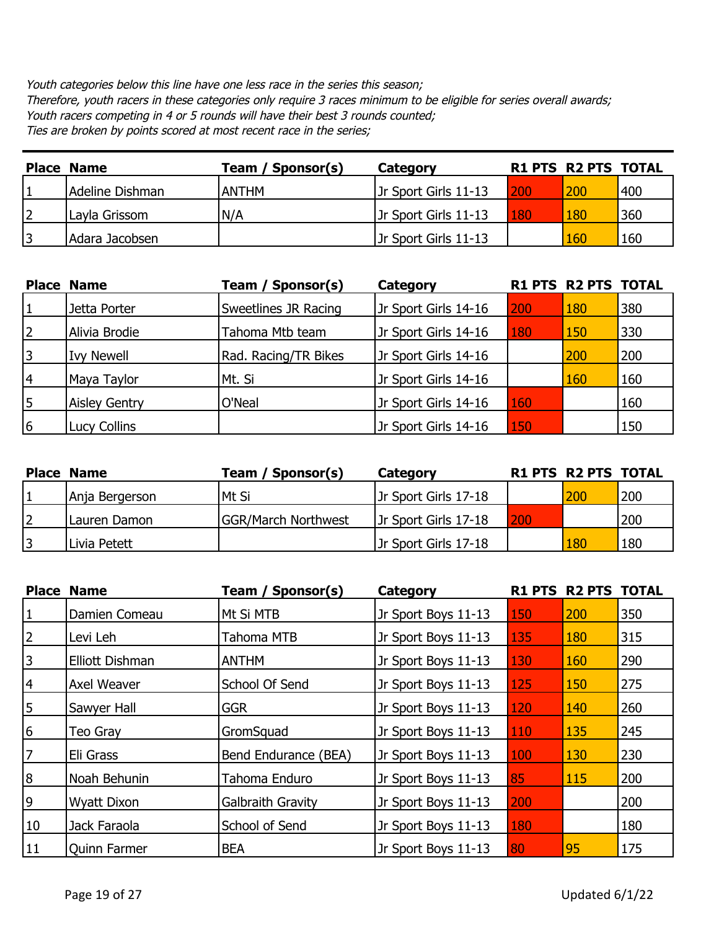Youth categories below this line have one less race in the series this season; Therefore, youth racers in these categories only require 3 races minimum to be eligible for series overall awards; Youth racers competing in 4 or 5 rounds will have their best 3 rounds counted; Ties are broken by points scored at most recent race in the series;

| <b>Place Name</b> | Team / Sponsor(s) | Category             |     | <b>R1 PTS R2 PTS TOTAL</b> |     |
|-------------------|-------------------|----------------------|-----|----------------------------|-----|
| Adeline Dishman   | <b>ANTHM</b>      | Jr Sport Girls 11-13 | 200 | 200                        | 400 |
| Layla Grissom     | N/A               | Jr Sport Girls 11-13 | 180 | 180                        | 360 |
| Adara Jacobsen    |                   | Jr Sport Girls 11-13 |     | 160                        | 160 |

|          | <b>Place Name</b>    | Team / Sponsor(s)    | Category             |     | <b>R1 PTS R2 PTS TOTAL</b> |     |
|----------|----------------------|----------------------|----------------------|-----|----------------------------|-----|
|          | Jetta Porter         | Sweetlines JR Racing | Jr Sport Girls 14-16 | 200 | 180                        | 380 |
| 2        | Alivia Brodie        | Tahoma Mtb team      | Jr Sport Girls 14-16 | 180 | 150                        | 330 |
| 3        | <b>Ivy Newell</b>    | Rad. Racing/TR Bikes | Jr Sport Girls 14-16 |     | 200                        | 200 |
| <b>4</b> | Maya Taylor          | Mt. Si               | Jr Sport Girls 14-16 |     | 160                        | 160 |
| 15       | <b>Aisley Gentry</b> | O'Neal               | Jr Sport Girls 14-16 | 160 |                            | 160 |
| 16       | Lucy Collins         |                      | Jr Sport Girls 14-16 | 150 |                            | 150 |

| <b>Place Name</b> | Team / Sponsor(s)          | Category             |     | <b>R1 PTS R2 PTS TOTAL</b> |     |
|-------------------|----------------------------|----------------------|-----|----------------------------|-----|
| Anja Bergerson    | lMt Si                     | Jr Sport Girls 17-18 |     | 200                        | 200 |
| Lauren Damon      | <b>GGR/March Northwest</b> | Jr Sport Girls 17-18 | 200 |                            | 200 |
| I Livia Petett    |                            | Jr Sport Girls 17-18 |     | <b>180</b>                 | 180 |

|                | <b>Place Name</b>   | Team / Sponsor(s)        | <b>Category</b>     |     | <b>R1 PTS R2 PTS TOTAL</b> |     |
|----------------|---------------------|--------------------------|---------------------|-----|----------------------------|-----|
| 1              | Damien Comeau       | Mt Si MTB                | Jr Sport Boys 11-13 | 150 | 200                        | 350 |
| $\overline{2}$ | Levi Leh            | Tahoma MTB               | Jr Sport Boys 11-13 | 135 | 180                        | 315 |
| $\overline{3}$ | Elliott Dishman     | <b>ANTHM</b>             | Jr Sport Boys 11-13 | 130 | 160                        | 290 |
| 4              | Axel Weaver         | School Of Send           | Jr Sport Boys 11-13 | 125 | 150                        | 275 |
| 5              | Sawyer Hall         | <b>GGR</b>               | Jr Sport Boys 11-13 | 120 | 140                        | 260 |
| 6              | Teo Gray            | GromSquad                | Jr Sport Boys 11-13 | 110 | 135                        | 245 |
| 7              | Eli Grass           | Bend Endurance (BEA)     | Jr Sport Boys 11-13 | 100 | 130                        | 230 |
| 8              | Noah Behunin        | Tahoma Enduro            | Jr Sport Boys 11-13 | 85  | 115                        | 200 |
| 9              | <b>Wyatt Dixon</b>  | <b>Galbraith Gravity</b> | Jr Sport Boys 11-13 | 200 |                            | 200 |
| 10             | Jack Faraola        | School of Send           | Jr Sport Boys 11-13 | 180 |                            | 180 |
| <b>11</b>      | <b>Quinn Farmer</b> | <b>BEA</b>               | Jr Sport Boys 11-13 | 80  | 95                         | 175 |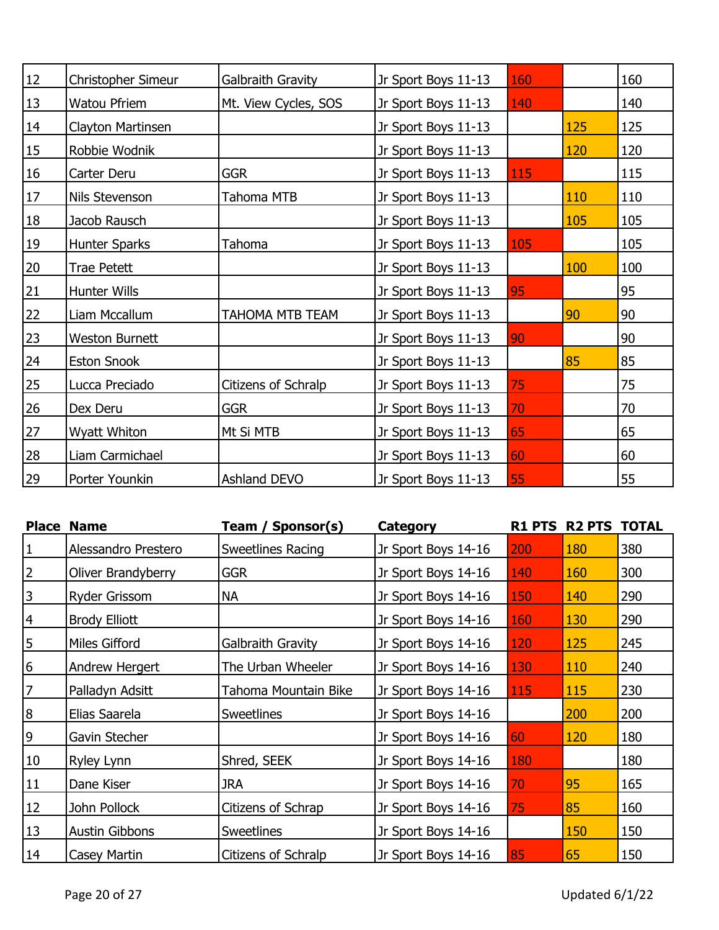| 12 | Christopher Simeur    | Galbraith Gravity    | Jr Sport Boys 11-13 | 160 |     | 160 |
|----|-----------------------|----------------------|---------------------|-----|-----|-----|
| 13 | Watou Pfriem          | Mt. View Cycles, SOS | Jr Sport Boys 11-13 | 140 |     | 140 |
| 14 | Clayton Martinsen     |                      | Jr Sport Boys 11-13 |     | 125 | 125 |
| 15 | Robbie Wodnik         |                      | Jr Sport Boys 11-13 |     | 120 | 120 |
| 16 | Carter Deru           | <b>GGR</b>           | Jr Sport Boys 11-13 | 115 |     | 115 |
| 17 | Nils Stevenson        | Tahoma MTB           | Jr Sport Boys 11-13 |     | 110 | 110 |
| 18 | Jacob Rausch          |                      | Jr Sport Boys 11-13 |     | 105 | 105 |
| 19 | Hunter Sparks         | Tahoma               | Jr Sport Boys 11-13 | 105 |     | 105 |
| 20 | <b>Trae Petett</b>    |                      | Jr Sport Boys 11-13 |     | 100 | 100 |
| 21 | Hunter Wills          |                      | Jr Sport Boys 11-13 | 95  |     | 95  |
| 22 | Liam Mccallum         | TAHOMA MTB TEAM      | Jr Sport Boys 11-13 |     | 90  | 90  |
| 23 | <b>Weston Burnett</b> |                      | Jr Sport Boys 11-13 | 90  |     | 90  |
| 24 | <b>Eston Snook</b>    |                      | Jr Sport Boys 11-13 |     | 85  | 85  |
| 25 | Lucca Preciado        | Citizens of Schralp  | Jr Sport Boys 11-13 | 75  |     | 75  |
| 26 | Dex Deru              | <b>GGR</b>           | Jr Sport Boys 11-13 | 70  |     | 70  |
| 27 | Wyatt Whiton          | Mt Si MTB            | Jr Sport Boys 11-13 | 65  |     | 65  |
| 28 | Liam Carmichael       |                      | Jr Sport Boys 11-13 | 60  |     | 60  |
| 29 | Porter Younkin        | Ashland DEVO         | Jr Sport Boys 11-13 | 55  |     | 55  |

|                  | <b>Place Name</b>     | Sponsor(s)<br>Team / | Category            | <b>R1 PTS</b> | <b>R2 PTS TOTAL</b> |     |
|------------------|-----------------------|----------------------|---------------------|---------------|---------------------|-----|
| 1                | Alessandro Prestero   | Sweetlines Racing    | Jr Sport Boys 14-16 | 200           | 180                 | 380 |
| $\overline{2}$   | Oliver Brandyberry    | <b>GGR</b>           | Jr Sport Boys 14-16 | 140           | 160                 | 300 |
| $\overline{3}$   | Ryder Grissom         | NA                   | Jr Sport Boys 14-16 | 150           | 140                 | 290 |
| $\vert 4 \vert$  | <b>Brody Elliott</b>  |                      | Jr Sport Boys 14-16 | 160           | <b>130</b>          | 290 |
| 5                | Miles Gifford         | Galbraith Gravity    | Jr Sport Boys 14-16 | 120           | 125                 | 245 |
| 6                | Andrew Hergert        | The Urban Wheeler    | Jr Sport Boys 14-16 | 130           | 110                 | 240 |
| $\overline{7}$   | Palladyn Adsitt       | Tahoma Mountain Bike | Jr Sport Boys 14-16 | 115           | 115                 | 230 |
| $\boldsymbol{8}$ | Elias Saarela         | <b>Sweetlines</b>    | Jr Sport Boys 14-16 |               | 200                 | 200 |
| 9                | Gavin Stecher         |                      | Jr Sport Boys 14-16 | 60            | 120                 | 180 |
| 10               | Ryley Lynn            | Shred, SEEK          | Jr Sport Boys 14-16 | 180           |                     | 180 |
| 11               | Dane Kiser            | JRA                  | Jr Sport Boys 14-16 | 70            | 95                  | 165 |
| 12               | John Pollock          | Citizens of Schrap   | Jr Sport Boys 14-16 | 75            | 85                  | 160 |
| 13               | <b>Austin Gibbons</b> | <b>Sweetlines</b>    | Jr Sport Boys 14-16 |               | 150                 | 150 |
| 14               | Casey Martin          | Citizens of Schralp  | Jr Sport Boys 14-16 | 85            | 65                  | 150 |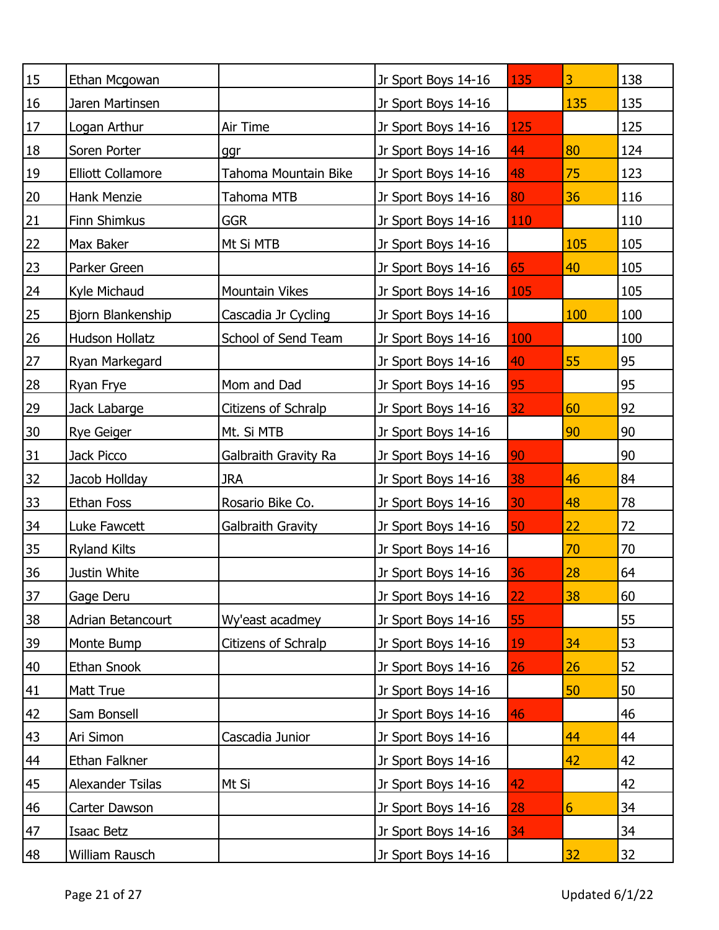| 15              | Ethan Mcgowan            |                      | Jr Sport Boys 14-16 | 135 | 3              | 138 |
|-----------------|--------------------------|----------------------|---------------------|-----|----------------|-----|
| 16              | Jaren Martinsen          |                      | Jr Sport Boys 14-16 |     | 135            | 135 |
| 17              | Logan Arthur             | Air Time             | Jr Sport Boys 14-16 | 125 |                | 125 |
| 18              | Soren Porter             | ggr                  | Jr Sport Boys 14-16 | 44  | 80             | 124 |
| 19              | <b>Elliott Collamore</b> | Tahoma Mountain Bike | Jr Sport Boys 14-16 | 48  | 75             | 123 |
| 20              | Hank Menzie              | Tahoma MTB           | Jr Sport Boys 14-16 | 80  | 36             | 116 |
| 21              | Finn Shimkus             | <b>GGR</b>           | Jr Sport Boys 14-16 | 110 |                | 110 |
| 22              | Max Baker                | Mt Si MTB            | Jr Sport Boys 14-16 |     | 105            | 105 |
| 23              | Parker Green             |                      | Jr Sport Boys 14-16 | 65  | 40             | 105 |
| 24              | Kyle Michaud             | Mountain Vikes       | Jr Sport Boys 14-16 | 105 |                | 105 |
| 25              | Bjorn Blankenship        | Cascadia Jr Cycling  | Jr Sport Boys 14-16 |     | 100            | 100 |
| 26              | Hudson Hollatz           | School of Send Team  | Jr Sport Boys 14-16 | 100 |                | 100 |
| 27              | Ryan Markegard           |                      | Jr Sport Boys 14-16 | 40  | 55             | 95  |
| 28              | Ryan Frye                | Mom and Dad          | Jr Sport Boys 14-16 | 95  |                | 95  |
| 29              | Jack Labarge             | Citizens of Schralp  | Jr Sport Boys 14-16 | 32  | 60             | 92  |
| 30              | Rye Geiger               | Mt. Si MTB           | Jr Sport Boys 14-16 |     | 90             | 90  |
| 31              | Jack Picco               | Galbraith Gravity Ra | Jr Sport Boys 14-16 | 90  |                | 90  |
| 32              | Jacob Hollday            | <b>JRA</b>           | Jr Sport Boys 14-16 | 38  | 46             | 84  |
| 33              | Ethan Foss               | Rosario Bike Co.     | Jr Sport Boys 14-16 | 30  | 48             | 78  |
| 34              | Luke Fawcett             | Galbraith Gravity    | Jr Sport Boys 14-16 | 50  | 22             | 72  |
| 35              | <b>Ryland Kilts</b>      |                      | Jr Sport Boys 14-16 |     | 70             | 70  |
| 36              | Justin White             |                      | Jr Sport Boys 14-16 | 36  | 28             | 64  |
| $\overline{37}$ | Gage Deru                |                      | Jr Sport Boys 14-16 | 22  | 38             | 60  |
| <u>38</u>       | Adrian Betancourt        | Wy'east acadmey      | Jr Sport Boys 14-16 | 55  |                | 55  |
| <u>39</u>       | Monte Bump               | Citizens of Schralp  | Jr Sport Boys 14-16 | 19  | 34             | 53  |
| 40              | Ethan Snook              |                      | Jr Sport Boys 14-16 | 26  | 26             | 52  |
| 41              | Matt True                |                      | Jr Sport Boys 14-16 |     | 50             | 50  |
| 42              | Sam Bonsell              |                      | Jr Sport Boys 14-16 | 46  |                | 46  |
| 43              | Ari Simon                | Cascadia Junior      | Jr Sport Boys 14-16 |     | 44             | 44  |
| 44              | Ethan Falkner            |                      | Jr Sport Boys 14-16 |     | 42             | 42  |
| 45              | Alexander Tsilas         | Mt Si                | Jr Sport Boys 14-16 | 42  |                | 42  |
| 46              | Carter Dawson            |                      | Jr Sport Boys 14-16 | 28  | $6\phantom{1}$ | 34  |
| 47              | Isaac Betz               |                      | Jr Sport Boys 14-16 | 34  |                | 34  |
| 48              | William Rausch           |                      | Jr Sport Boys 14-16 |     | 32             | 32  |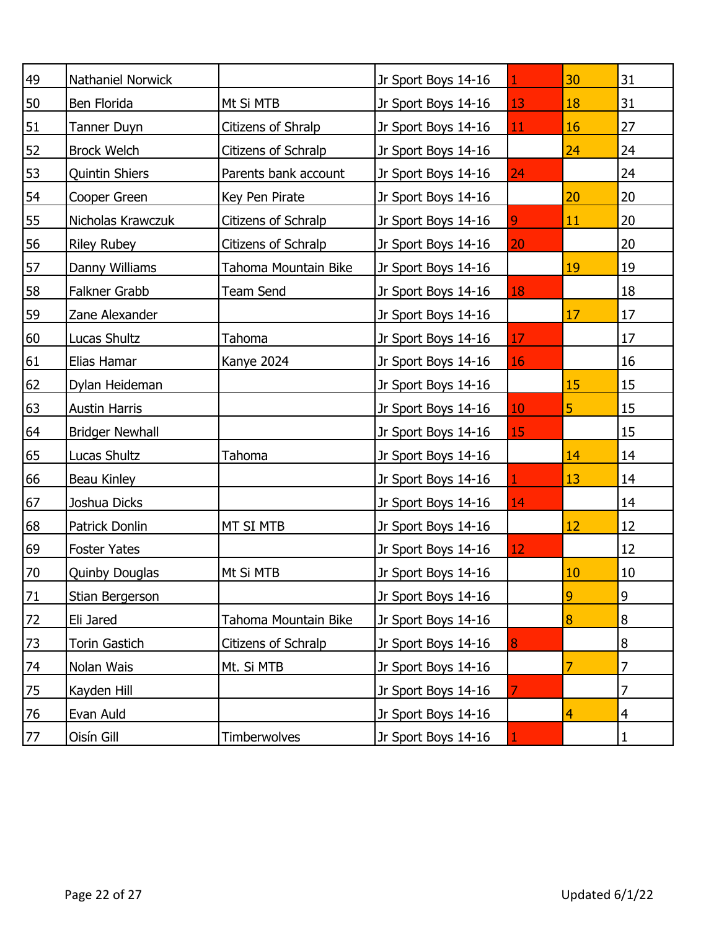| 49              | Nathaniel Norwick      |                      | Jr Sport Boys 14-16 |    | 30             | 31 |
|-----------------|------------------------|----------------------|---------------------|----|----------------|----|
| 50              | Ben Florida            | Mt Si MTB            | Jr Sport Boys 14-16 | 13 | 18             | 31 |
| 51              | Tanner Duyn            | Citizens of Shralp   | Jr Sport Boys 14-16 | 11 | 16             | 27 |
| 52              | <b>Brock Welch</b>     | Citizens of Schralp  | Jr Sport Boys 14-16 |    | 24             | 24 |
| 53              | Quintin Shiers         | Parents bank account | Jr Sport Boys 14-16 | 24 |                | 24 |
| 54              | Cooper Green           | Key Pen Pirate       | Jr Sport Boys 14-16 |    | 20             | 20 |
| 55              | Nicholas Krawczuk      | Citizens of Schralp  | Jr Sport Boys 14-16 | 9  | 11             | 20 |
| 56              | <b>Riley Rubey</b>     | Citizens of Schralp  | Jr Sport Boys 14-16 | 20 |                | 20 |
| 57              | Danny Williams         | Tahoma Mountain Bike | Jr Sport Boys 14-16 |    | 19             | 19 |
| 58              | Falkner Grabb          | Team Send            | Jr Sport Boys 14-16 | 18 |                | 18 |
| 59              | Zane Alexander         |                      | Jr Sport Boys 14-16 |    | 17             | 17 |
| 60              | Lucas Shultz           | Tahoma               | Jr Sport Boys 14-16 | 17 |                | 17 |
| 61              | Elias Hamar            | Kanye 2024           | Jr Sport Boys 14-16 | 16 |                | 16 |
| 62              | Dylan Heideman         |                      | Jr Sport Boys 14-16 |    | 15             | 15 |
| 63              | <b>Austin Harris</b>   |                      | Jr Sport Boys 14-16 | 10 | 5              | 15 |
| 64              | <b>Bridger Newhall</b> |                      | Jr Sport Boys 14-16 | 15 |                | 15 |
| 65              | Lucas Shultz           | Tahoma               | Jr Sport Boys 14-16 |    | 14             | 14 |
| 66              | Beau Kinley            |                      | Jr Sport Boys 14-16 |    | 13             | 14 |
| 67              | Joshua Dicks           |                      | Jr Sport Boys 14-16 | 14 |                | 14 |
| 68              | Patrick Donlin         | MT SI MTB            | Jr Sport Boys 14-16 |    | 12             | 12 |
| 69              | <b>Foster Yates</b>    |                      | Jr Sport Boys 14-16 | 12 |                | 12 |
| 70              | Quinby Douglas         | Mt Si MTB            | Jr Sport Boys 14-16 |    | 10             | 10 |
| 71              | Stian Bergerson        |                      | Jr Sport Boys 14-16 |    | 9              | 9  |
| 72              | Eli Jared              | Tahoma Mountain Bike | Jr Sport Boys 14-16 |    | 8              | 8  |
| 73              | Torin Gastich          | Citizens of Schralp  | Jr Sport Boys 14-16 | 8  |                | 8  |
| 74              | Nolan Wais             | Mt. Si MTB           | Jr Sport Boys 14-16 |    | 7              | 7  |
| $\overline{75}$ | Kayden Hill            |                      | Jr Sport Boys 14-16 |    |                | 7  |
| $\frac{76}{ }$  | Evan Auld              |                      | Jr Sport Boys 14-16 |    | $\overline{4}$ | 4  |
| 77              | Oisín Gill             | Timberwolves         | Jr Sport Boys 14-16 |    |                | 1  |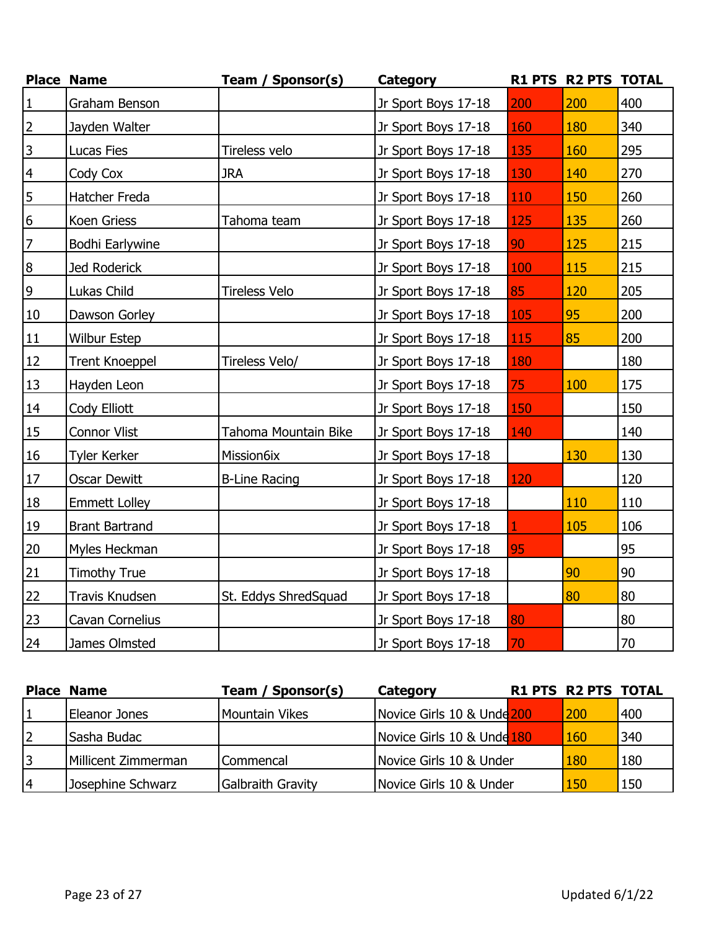|                 | <b>Place Name</b>     | Team / Sponsor(s)    | <b>Category</b>     |     | R1 PTS R2 PTS TOTAL |     |
|-----------------|-----------------------|----------------------|---------------------|-----|---------------------|-----|
| $\vert$ 1       | Graham Benson         |                      | Jr Sport Boys 17-18 | 200 | 200                 | 400 |
| $\overline{2}$  | Jayden Walter         |                      | Jr Sport Boys 17-18 | 160 | 180                 | 340 |
| $\overline{3}$  | Lucas Fies            | Tireless velo        | Jr Sport Boys 17-18 | 135 | 160                 | 295 |
| $\overline{4}$  | Cody Cox              | <b>JRA</b>           | Jr Sport Boys 17-18 | 130 | 140                 | 270 |
| $\overline{5}$  | Hatcher Freda         |                      | Jr Sport Boys 17-18 | 110 | 150                 | 260 |
| $6\overline{6}$ | Koen Griess           | Tahoma team          | Jr Sport Boys 17-18 | 125 | 135                 | 260 |
| $\overline{7}$  | Bodhi Earlywine       |                      | Jr Sport Boys 17-18 | 90  | 125                 | 215 |
| $\overline{8}$  | Jed Roderick          |                      | Jr Sport Boys 17-18 | 100 | 115                 | 215 |
| $\overline{6}$  | Lukas Child           | <b>Tireless Velo</b> | Jr Sport Boys 17-18 | 85  | 120                 | 205 |
| 10              | Dawson Gorley         |                      | Jr Sport Boys 17-18 | 105 | 95                  | 200 |
| 11              | <b>Wilbur Estep</b>   |                      | Jr Sport Boys 17-18 | 115 | 85                  | 200 |
| 12              | <b>Trent Knoeppel</b> | Tireless Velo/       | Jr Sport Boys 17-18 | 180 |                     | 180 |
| 13              | Hayden Leon           |                      | Jr Sport Boys 17-18 | 75  | 100                 | 175 |
| 14              | Cody Elliott          |                      | Jr Sport Boys 17-18 | 150 |                     | 150 |
| 15              | <b>Connor Vlist</b>   | Tahoma Mountain Bike | Jr Sport Boys 17-18 | 140 |                     | 140 |
| 16              | <b>Tyler Kerker</b>   | Mission6ix           | Jr Sport Boys 17-18 |     | 130                 | 130 |
| 17              | <b>Oscar Dewitt</b>   | <b>B-Line Racing</b> | Jr Sport Boys 17-18 | 120 |                     | 120 |
| 18              | <b>Emmett Lolley</b>  |                      | Jr Sport Boys 17-18 |     | 110                 | 110 |
| 19              | <b>Brant Bartrand</b> |                      | Jr Sport Boys 17-18 |     | 105                 | 106 |
| 20              | Myles Heckman         |                      | Jr Sport Boys 17-18 | 95  |                     | 95  |
| 21              | <b>Timothy True</b>   |                      | Jr Sport Boys 17-18 |     | 90                  | 90  |
| 22              | Travis Knudsen        | St. Eddys ShredSquad | Jr Sport Boys 17-18 |     | 80                  | 80  |
| 23              | Cavan Cornelius       |                      | Jr Sport Boys 17-18 | 80  |                     | 80  |
| 24              | James Olmsted         |                      | Jr Sport Boys 17-18 | 70  |                     | 70  |

|   | <b>Place Name</b>   | Team / Sponsor(s)        | Category                              | <b>R1 PTS R2 PTS TOTAL</b> |     |
|---|---------------------|--------------------------|---------------------------------------|----------------------------|-----|
|   | Eleanor Jones       | Mountain Vikes           | Novice Girls 10 & Unde <sup>200</sup> | 200                        | 400 |
| 2 | Sasha Budac         |                          | Novice Girls 10 & Unde 180            | 160                        | 340 |
| 3 | Millicent Zimmerman | <b>Commencal</b>         | Novice Girls 10 & Under               | 180                        | 180 |
| 4 | Josephine Schwarz   | <b>Galbraith Gravity</b> | Novice Girls 10 & Under               | 150                        | 150 |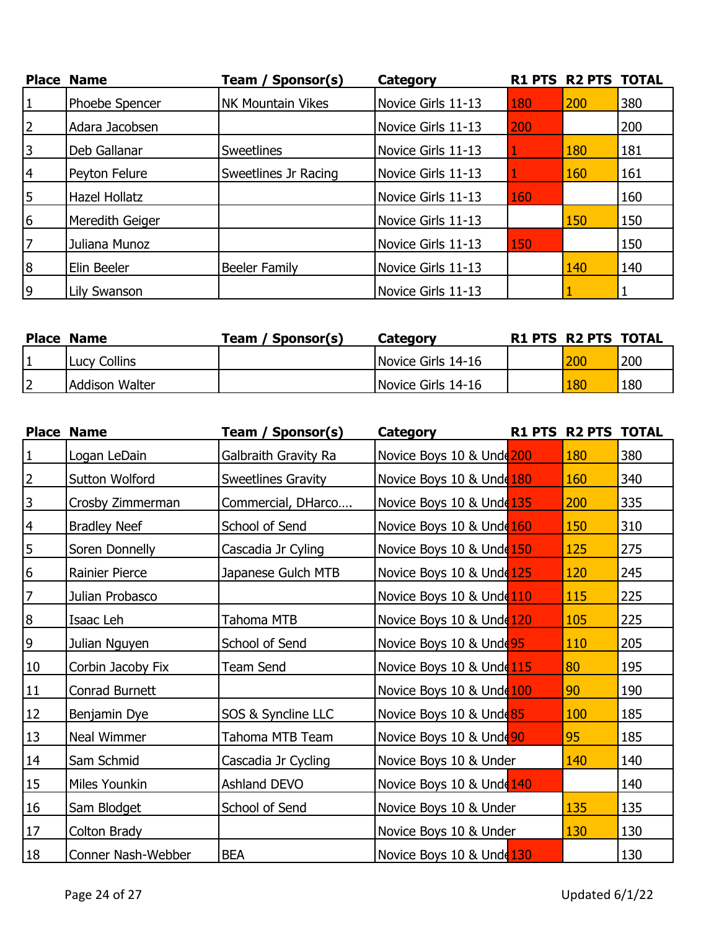|                | <b>Place Name</b>    | Sponsor(s)<br>Team /     | <b>Category</b>    |     | R1 PTS R2 PTS TOTAL |     |
|----------------|----------------------|--------------------------|--------------------|-----|---------------------|-----|
| $\mathbf{1}$   | Phoebe Spencer       | <b>NK Mountain Vikes</b> | Novice Girls 11-13 | 180 | 200                 | 380 |
| 2              | Adara Jacobsen       |                          | Novice Girls 11-13 | 200 |                     | 200 |
| 3              | Deb Gallanar         | <b>Sweetlines</b>        | Novice Girls 11-13 |     | 180                 | 181 |
| 4              | Peyton Felure        | Sweetlines Jr Racing     | Novice Girls 11-13 |     | 160                 | 161 |
| 5              | <b>Hazel Hollatz</b> |                          | Novice Girls 11-13 | 160 |                     | 160 |
| 6              | Meredith Geiger      |                          | Novice Girls 11-13 |     | 150                 | 150 |
| 7              | Juliana Munoz        |                          | Novice Girls 11-13 | 150 |                     | 150 |
| $\overline{8}$ | Elin Beeler          | Beeler Family            | Novice Girls 11-13 |     | 140                 | 140 |
| $\overline{9}$ | Lily Swanson         |                          | Novice Girls 11-13 |     |                     |     |

| <b>Place Name</b>     | Team / Sponsor(s) | Category           | <b>R1 PTS R2 PTS TOTAL</b> |     |
|-----------------------|-------------------|--------------------|----------------------------|-----|
| Lucy Collins          |                   | Novice Girls 14-16 | 200                        | 200 |
| <b>Addison Walter</b> |                   | Novice Girls 14-16 | 180                        | 180 |

|                  | <b>Place Name</b>   | Team / Sponsor(s)         | <b>Category</b>           | R1 PTS R2 PTS TOTAL |     |
|------------------|---------------------|---------------------------|---------------------------|---------------------|-----|
| $\mathbf 1$      | Logan LeDain        | Galbraith Gravity Ra      | Novice Boys 10 & Unde 200 | 180                 | 380 |
| $\overline{2}$   | Sutton Wolford      | <b>Sweetlines Gravity</b> | Novice Boys 10 & Unde 180 | 160                 | 340 |
| 3                | Crosby Zimmerman    | Commercial, DHarco        | Novice Boys 10 & Unde 135 | 200                 | 335 |
| $\overline{4}$   | <b>Bradley Neef</b> | School of Send            | Novice Boys 10 & Unde 160 | 150                 | 310 |
| 5                | Soren Donnelly      | Cascadia Jr Cyling        | Novice Boys 10 & Unde 150 | 125                 | 275 |
| 6                | Rainier Pierce      | Japanese Gulch MTB        | Novice Boys 10 & Unde 125 | 120                 | 245 |
| $\overline{7}$   | Julian Probasco     |                           | Novice Boys 10 & Unde 110 | 115                 | 225 |
| $\boldsymbol{8}$ | Isaac Leh           | Tahoma MTB                | Novice Boys 10 & Unde 120 | 105                 | 225 |
| $\overline{9}$   | Julian Nguyen       | School of Send            | Novice Boys 10 & Unde 95  | 110                 | 205 |
| $10\,$           | Corbin Jacoby Fix   | Team Send                 | Novice Boys 10 & Unde 115 | 80                  | 195 |
| 11               | Conrad Burnett      |                           | Novice Boys 10 & Unde 100 | 90                  | 190 |
| 12               | Benjamin Dye        | SOS & Syncline LLC        | Novice Boys 10 & Unde 85  | 100                 | 185 |
| 13               | Neal Wimmer         | Tahoma MTB Team           | Novice Boys 10 & Unde 90  | 95                  | 185 |
| 14               | Sam Schmid          | Cascadia Jr Cycling       | Novice Boys 10 & Under    | 140                 | 140 |
| 15               | Miles Younkin       | Ashland DEVO              | Novice Boys 10 & Unde 140 |                     | 140 |
| 16               | Sam Blodget         | School of Send            | Novice Boys 10 & Under    | 135                 | 135 |
| $17\,$           | Colton Brady        |                           | Novice Boys 10 & Under    | 130                 | 130 |
| 18               | Conner Nash-Webber  | <b>BEA</b>                | Novice Boys 10 & Unde 130 |                     | 130 |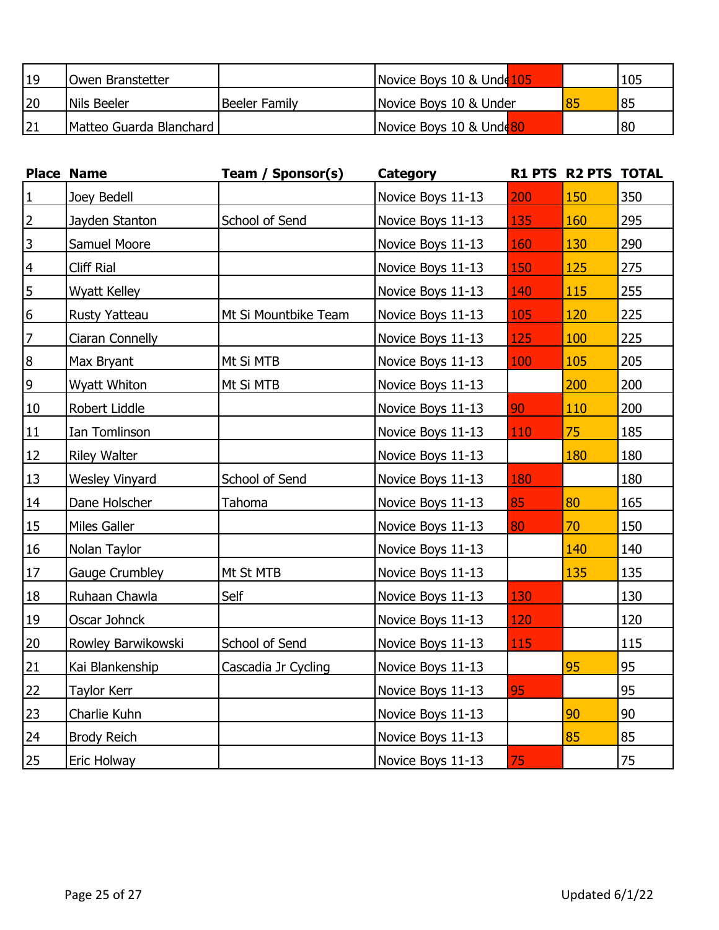| $ 19\rangle$ | Owen Branstetter        |               | Novice Boys 10 & Unde 105           | 105 |
|--------------|-------------------------|---------------|-------------------------------------|-----|
| 20           | INils Beeler            | Beeler Family | Novice Boys 10 & Under              | 85  |
|              | Matteo Guarda Blanchard |               | Novice Boys 10 & Unde <sup>80</sup> | 80  |

|                 | <b>Place Name</b>     | Team / Sponsor(s)    | <b>Category</b>   |     | R1 PTS R2 PTS TOTAL |     |
|-----------------|-----------------------|----------------------|-------------------|-----|---------------------|-----|
| $\mathbf{1}$    | Joey Bedell           |                      | Novice Boys 11-13 | 200 | 150                 | 350 |
| $\overline{2}$  | Jayden Stanton        | School of Send       | Novice Boys 11-13 | 135 | 160                 | 295 |
| $\overline{3}$  | Samuel Moore          |                      | Novice Boys 11-13 | 160 | 130                 | 290 |
| $\overline{4}$  | Cliff Rial            |                      | Novice Boys 11-13 | 150 | 125                 | 275 |
| 5               | Wyatt Kelley          |                      | Novice Boys 11-13 | 140 | 115                 | 255 |
| $6\overline{6}$ | <b>Rusty Yatteau</b>  | Mt Si Mountbike Team | Novice Boys 11-13 | 105 | 120                 | 225 |
| $\overline{7}$  | Ciaran Connelly       |                      | Novice Boys 11-13 | 125 | 100                 | 225 |
| $\mathbf{8}$    | Max Bryant            | Mt Si MTB            | Novice Boys 11-13 | 100 | 105                 | 205 |
| $\overline{9}$  | Wyatt Whiton          | Mt Si MTB            | Novice Boys 11-13 |     | 200                 | 200 |
| 10              | Robert Liddle         |                      | Novice Boys 11-13 | 90  | 110                 | 200 |
| 11              | Ian Tomlinson         |                      | Novice Boys 11-13 | 110 | 75                  | 185 |
| 12              | <b>Riley Walter</b>   |                      | Novice Boys 11-13 |     | 180                 | 180 |
| 13              | <b>Wesley Vinyard</b> | School of Send       | Novice Boys 11-13 | 180 |                     | 180 |
| 14              | Dane Holscher         | Tahoma               | Novice Boys 11-13 | 85  | 80                  | 165 |
| 15              | Miles Galler          |                      | Novice Boys 11-13 | 80  | 70                  | 150 |
| 16              | Nolan Taylor          |                      | Novice Boys 11-13 |     | 140                 | 140 |
| $17\,$          | Gauge Crumbley        | Mt St MTB            | Novice Boys 11-13 |     | 135                 | 135 |
| 18              | Ruhaan Chawla         | Self                 | Novice Boys 11-13 | 130 |                     | 130 |
| 19              | Oscar Johnck          |                      | Novice Boys 11-13 | 120 |                     | 120 |
| 20              | Rowley Barwikowski    | School of Send       | Novice Boys 11-13 | 115 |                     | 115 |
| 21              | Kai Blankenship       | Cascadia Jr Cycling  | Novice Boys 11-13 |     | 95                  | 95  |
| 22              | <b>Taylor Kerr</b>    |                      | Novice Boys 11-13 | 95  |                     | 95  |
| 23              | Charlie Kuhn          |                      | Novice Boys 11-13 |     | 90                  | 90  |
| 24              | <b>Brody Reich</b>    |                      | Novice Boys 11-13 |     | 85                  | 85  |
| 25              | Eric Holway           |                      | Novice Boys 11-13 | 75  |                     | 75  |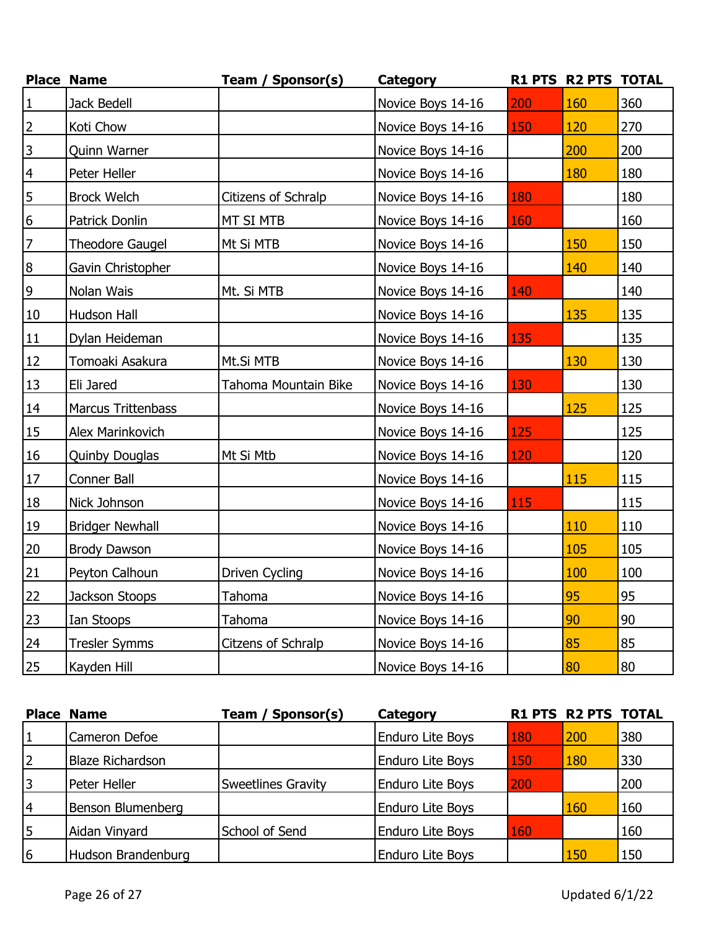|                  | <b>Place Name</b>         | Team / Sponsor(s)    | <b>Category</b>   |     | R1 PTS R2 PTS TOTAL |     |
|------------------|---------------------------|----------------------|-------------------|-----|---------------------|-----|
| $\mathbf 1$      | Jack Bedell               |                      | Novice Boys 14-16 | 200 | 160                 | 360 |
| $\overline{2}$   | Koti Chow                 |                      | Novice Boys 14-16 | 150 | 120                 | 270 |
| $\overline{3}$   | Quinn Warner              |                      | Novice Boys 14-16 |     | 200                 | 200 |
| $\overline{4}$   | Peter Heller              |                      | Novice Boys 14-16 |     | 180                 | 180 |
| $\overline{5}$   | <b>Brock Welch</b>        | Citizens of Schralp  | Novice Boys 14-16 | 180 |                     | 180 |
| $6\overline{6}$  | Patrick Donlin            | MT SI MTB            | Novice Boys 14-16 | 160 |                     | 160 |
| $\overline{7}$   | <b>Theodore Gaugel</b>    | Mt Si MTB            | Novice Boys 14-16 |     | 150                 | 150 |
| $\boldsymbol{8}$ | Gavin Christopher         |                      | Novice Boys 14-16 |     | 140                 | 140 |
| $\overline{9}$   | Nolan Wais                | Mt. Si MTB           | Novice Boys 14-16 | 140 |                     | 140 |
| 10               | Hudson Hall               |                      | Novice Boys 14-16 |     | 135                 | 135 |
| 11               | Dylan Heideman            |                      | Novice Boys 14-16 | 135 |                     | 135 |
| 12               | Tomoaki Asakura           | Mt.Si MTB            | Novice Boys 14-16 |     | 130                 | 130 |
| 13               | Eli Jared                 | Tahoma Mountain Bike | Novice Boys 14-16 | 130 |                     | 130 |
| 14               | <b>Marcus Trittenbass</b> |                      | Novice Boys 14-16 |     | 125                 | 125 |
| 15               | Alex Marinkovich          |                      | Novice Boys 14-16 | 125 |                     | 125 |
| 16               | Quinby Douglas            | Mt Si Mtb            | Novice Boys 14-16 | 120 |                     | 120 |
| 17               | Conner Ball               |                      | Novice Boys 14-16 |     | 115                 | 115 |
| 18               | Nick Johnson              |                      | Novice Boys 14-16 | 115 |                     | 115 |
| 19               | <b>Bridger Newhall</b>    |                      | Novice Boys 14-16 |     | 110                 | 110 |
| 20               | <b>Brody Dawson</b>       |                      | Novice Boys 14-16 |     | 105                 | 105 |
| 21               | Peyton Calhoun            | Driven Cycling       | Novice Boys 14-16 |     | 100                 | 100 |
| 22               | Jackson Stoops            | Tahoma               | Novice Boys 14-16 |     | 95                  | 95  |
| 23               | Ian Stoops                | Tahoma               | Novice Boys 14-16 |     | 90                  | 90  |
| 24               | <b>Tresler Symms</b>      | Citzens of Schralp   | Novice Boys 14-16 |     | 85                  | 85  |
| 25               | Kayden Hill               |                      | Novice Boys 14-16 |     | 80                  | 80  |

|   | <b>Place Name</b>       | Team / Sponsor(s)         | Category                |     | <b>R1 PTS R2 PTS TOTAL</b> |     |
|---|-------------------------|---------------------------|-------------------------|-----|----------------------------|-----|
| 1 | Cameron Defoe           |                           | <b>Enduro Lite Boys</b> | 180 | 200                        | 380 |
| 2 | <b>Blaze Richardson</b> |                           | <b>Enduro Lite Boys</b> | 150 | 180                        | 330 |
| 3 | Peter Heller            | <b>Sweetlines Gravity</b> | <b>Enduro Lite Boys</b> | 200 |                            | 200 |
| 4 | Benson Blumenberg       |                           | <b>Enduro Lite Boys</b> |     | 160                        | 160 |
| 5 | Aidan Vinyard           | School of Send            | <b>Enduro Lite Boys</b> | 160 |                            | 160 |
| 6 | Hudson Brandenburg      |                           | <b>Enduro Lite Boys</b> |     | 150                        | 150 |